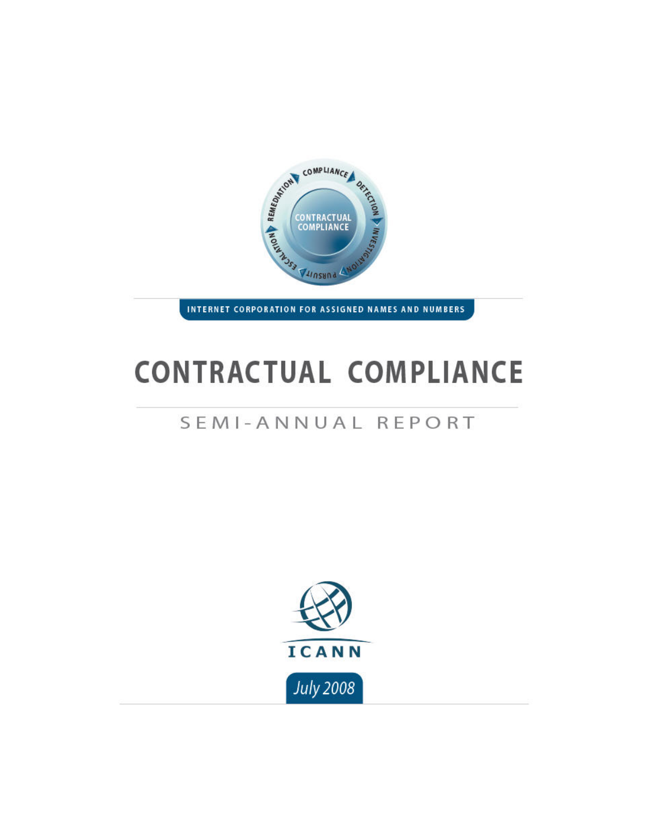

INTERNET CORPORATION FOR ASSIGNED NAMES AND NUMBERS

# **CONTRACTUAL COMPLIANCE**

# SEMI-ANNUAL REPORT

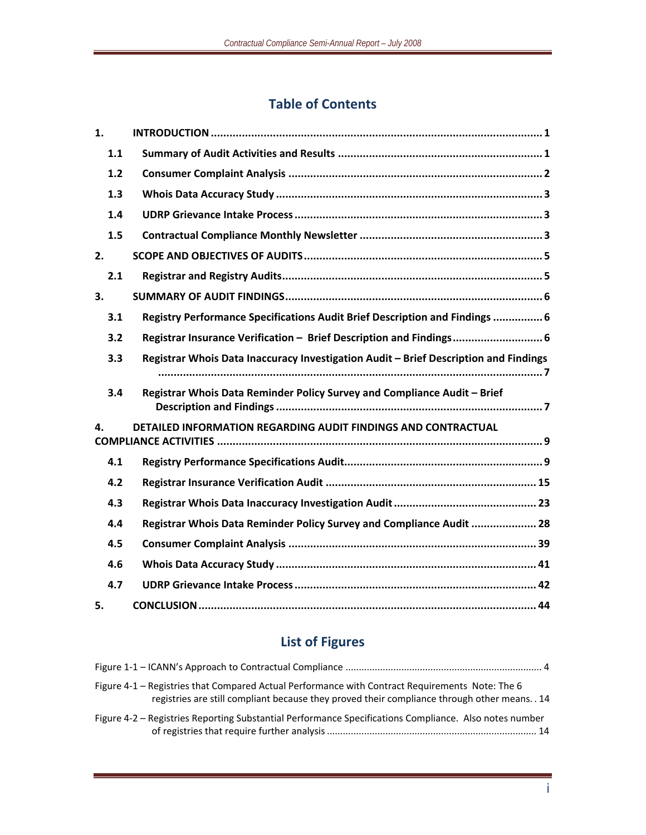# **Table of Contents**

| 1.  |                                                                                      |
|-----|--------------------------------------------------------------------------------------|
| 1.1 |                                                                                      |
| 1.2 |                                                                                      |
| 1.3 |                                                                                      |
| 1.4 |                                                                                      |
| 1.5 |                                                                                      |
| 2.  |                                                                                      |
| 2.1 |                                                                                      |
| 3.  |                                                                                      |
| 3.1 | Registry Performance Specifications Audit Brief Description and Findings  6          |
| 3.2 | Registrar Insurance Verification - Brief Description and Findings 6                  |
| 3.3 | Registrar Whois Data Inaccuracy Investigation Audit - Brief Description and Findings |
|     |                                                                                      |
| 3.4 | Registrar Whois Data Reminder Policy Survey and Compliance Audit - Brief             |
| 4.  | DETAILED INFORMATION REGARDING AUDIT FINDINGS AND CONTRACTUAL                        |
| 4.1 |                                                                                      |
| 4.2 |                                                                                      |
| 4.3 |                                                                                      |
| 4.4 | Registrar Whois Data Reminder Policy Survey and Compliance Audit  28                 |
| 4.5 |                                                                                      |
| 4.6 |                                                                                      |
| 4.7 |                                                                                      |
| 5.  |                                                                                      |

# **List of Figures**

| Figure 4-1 – Registries that Compared Actual Performance with Contract Requirements Note: The 6<br>registries are still compliant because they proved their compliance through other means. . 14 |  |
|--------------------------------------------------------------------------------------------------------------------------------------------------------------------------------------------------|--|
| Figure 4-2 – Registries Reporting Substantial Performance Specifications Compliance. Also notes number                                                                                           |  |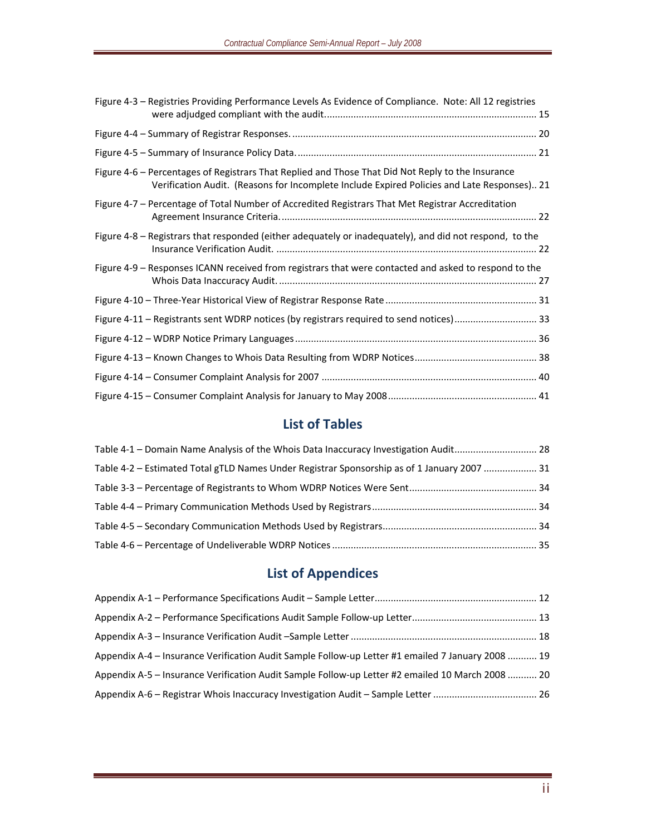| Figure 4-3 - Registries Providing Performance Levels As Evidence of Compliance. Note: All 12 registries                                                                                          |  |
|--------------------------------------------------------------------------------------------------------------------------------------------------------------------------------------------------|--|
|                                                                                                                                                                                                  |  |
|                                                                                                                                                                                                  |  |
| Figure 4-6 - Percentages of Registrars That Replied and Those That Did Not Reply to the Insurance<br>Verification Audit. (Reasons for Incomplete Include Expired Policies and Late Responses) 21 |  |
| Figure 4-7 - Percentage of Total Number of Accredited Registrars That Met Registrar Accreditation                                                                                                |  |
| Figure 4-8 - Registrars that responded (either adequately or inadequately), and did not respond, to the                                                                                          |  |
| Figure 4-9 - Responses ICANN received from registrars that were contacted and asked to respond to the                                                                                            |  |
|                                                                                                                                                                                                  |  |
| Figure 4-11 - Registrants sent WDRP notices (by registrars required to send notices) 33                                                                                                          |  |
|                                                                                                                                                                                                  |  |
|                                                                                                                                                                                                  |  |
|                                                                                                                                                                                                  |  |
|                                                                                                                                                                                                  |  |

# **List of Tables**

| Table 4-1 - Domain Name Analysis of the Whois Data Inaccuracy Investigation Audit 28        |  |
|---------------------------------------------------------------------------------------------|--|
| Table 4-2 – Estimated Total gTLD Names Under Registrar Sponsorship as of 1 January 2007  31 |  |
|                                                                                             |  |
|                                                                                             |  |
|                                                                                             |  |
|                                                                                             |  |

# **List of Appendices**

| Appendix A-4 – Insurance Verification Audit Sample Follow-up Letter #1 emailed 7 January 2008  19 |  |
|---------------------------------------------------------------------------------------------------|--|
| Appendix A-5 – Insurance Verification Audit Sample Follow-up Letter #2 emailed 10 March 2008  20  |  |
|                                                                                                   |  |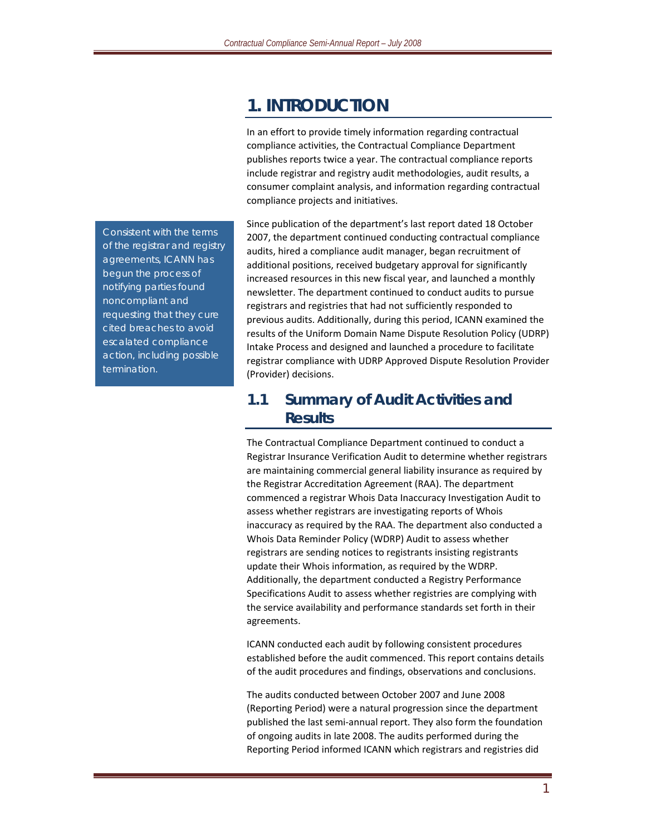# **1. INTRODUCTION**

In an effort to provide timely information regarding contractual compliance activities, the Contractual Compliance Department publishes reports twice a year. The contractual compliance reports include registrar and registry audit methodologies, audit results, a consumer complaint analysis, and information regarding contractual compliance projects and initiatives.

Since publication of the department's last report dated 18 October 2007, the department continued conducting contractual compliance audits, hired a compliance audit manager, began recruitment of additional positions, received budgetary approval for significantly increased resources in this new fiscal year, and launched a monthly newsletter. The department continued to conduct audits to pursue registrars and registries that had not sufficiently responded to previous audits. Additionally, during this period, ICANN examined the results of the Uniform Domain Name Dispute Resolution Policy (UDRP) Intake Process and designed and launched a procedure to facilitate registrar compliance with UDRP Approved Dispute Resolution Provider (Provider) decisions.

## **1.1 Summary of Audit Activities and Results**

The Contractual Compliance Department continued to conduct a Registrar Insurance Verification Audit to determine whether registrars are maintaining commercial general liability insurance as required by the Registrar Accreditation Agreement (RAA). The department commenced a registrar Whois Data Inaccuracy Investigation Audit to assess whether registrars are investigating reports of Whois inaccuracy as required by the RAA. The department also conducted a Whois Data Reminder Policy (WDRP) Audit to assess whether registrars are sending notices to registrants insisting registrants update their Whois information, as required by the WDRP. Additionally, the department conducted a Registry Performance Specifications Audit to assess whether registries are complying with the service availability and performance standards set forth in their agreements.

ICANN conducted each audit by following consistent procedures established before the audit commenced. This report contains details of the audit procedures and findings, observations and conclusions.

The audits conducted between October 2007 and June 2008 (Reporting Period) were a natural progression since the department published the last semi‐annual report. They also form the foundation of ongoing audits in late 2008. The audits performed during the Reporting Period informed ICANN which registrars and registries did

*Consistent with the terms of the registrar and registry agreements, ICANN has begun the process of notifying parties found noncompliant and requesting that they cure cited breaches to avoid escalated compliance action, including possible termination.*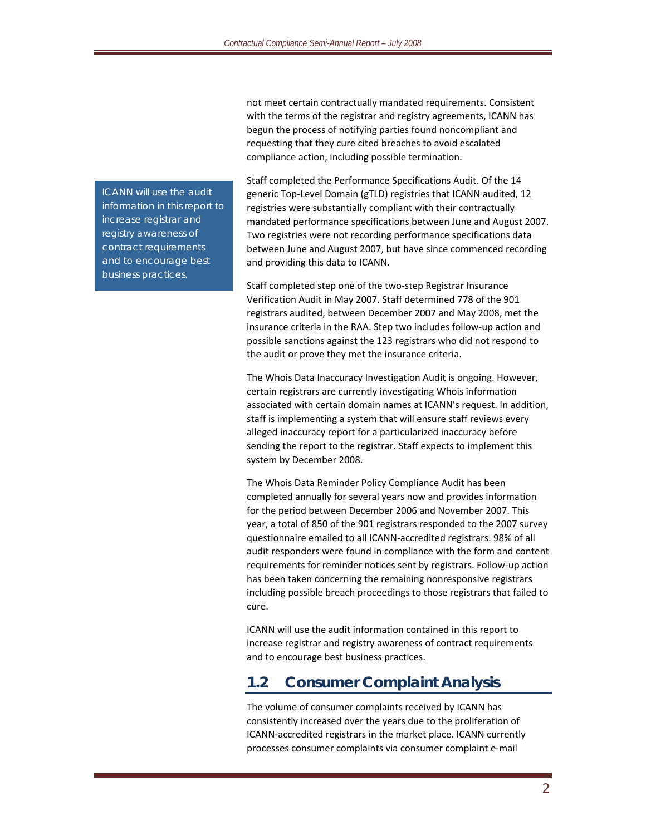not meet certain contractually mandated requirements. Consistent with the terms of the registrar and registry agreements, ICANN has begun the process of notifying parties found noncompliant and requesting that they cure cited breaches to avoid escalated compliance action, including possible termination.

Staff completed the Performance Specifications Audit. Of the 14 generic Top‐Level Domain (gTLD) registries that ICANN audited, 12 registries were substantially compliant with their contractually mandated performance specifications between June and August 2007. Two registries were not recording performance specifications data between June and August 2007, but have since commenced recording and providing this data to ICANN.

Staff completed step one of the two‐step Registrar Insurance Verification Audit in May 2007. Staff determined 778 of the 901 registrars audited, between December 2007 and May 2008, met the insurance criteria in the RAA. Step two includes follow‐up action and possible sanctions against the 123 registrars who did not respond to the audit or prove they met the insurance criteria.

The Whois Data Inaccuracy Investigation Audit is ongoing. However, certain registrars are currently investigating Whois information associated with certain domain names at ICANN's request. In addition, staff is implementing a system that will ensure staff reviews every alleged inaccuracy report for a particularized inaccuracy before sending the report to the registrar. Staff expects to implement this system by December 2008.

The Whois Data Reminder Policy Compliance Audit has been completed annually for several years now and provides information for the period between December 2006 and November 2007. This year, a total of 850 of the 901 registrars responded to the 2007 survey questionnaire emailed to all ICANN‐accredited registrars. 98% of all audit responders were found in compliance with the form and content requirements for reminder notices sent by registrars. Follow‐up action has been taken concerning the remaining nonresponsive registrars including possible breach proceedings to those registrars that failed to cure.

ICANN will use the audit information contained in this report to increase registrar and registry awareness of contract requirements and to encourage best business practices.

### **1.2 Consumer Complaint Analysis**

The volume of consumer complaints received by ICANN has consistently increased over the years due to the proliferation of ICANN‐accredited registrars in the market place. ICANN currently processes consumer complaints via consumer complaint e‐mail

*ICANN will use the audit information in this report to increase registrar and registry awareness of contract requirements and to encourage best business practices.*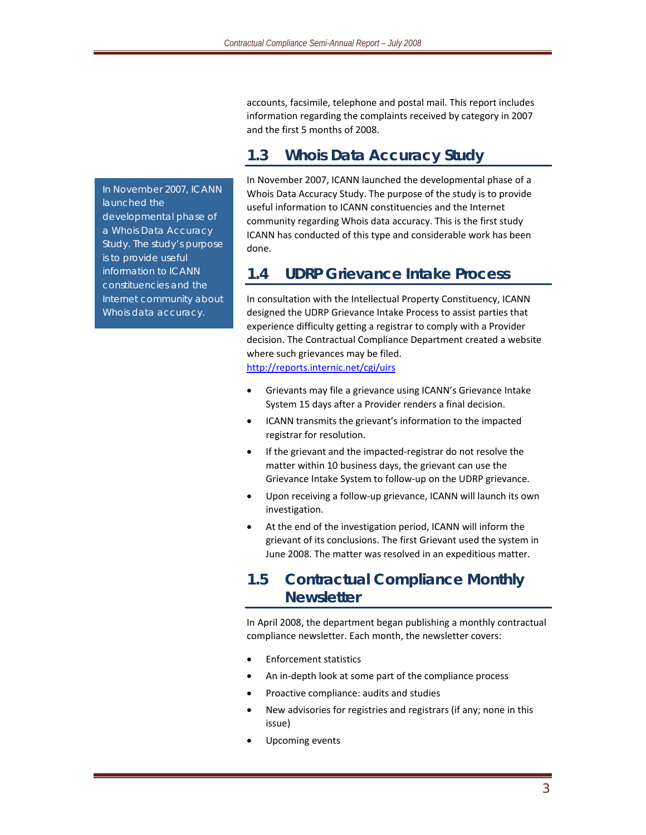accounts, facsimile, telephone and postal mail. This report includes information regarding the complaints received by category in 2007 and the first 5 months of 2008.

# **1.3 Whois Data Accuracy Study**

In November 2007, ICANN launched the developmental phase of a Whois Data Accuracy Study. The purpose of the study is to provide useful information to ICANN constituencies and the Internet community regarding Whois data accuracy. This is the first study ICANN has conducted of this type and considerable work has been done.

## **1.4 UDRP Grievance Intake Process**

In consultation with the Intellectual Property Constituency, ICANN designed the UDRP Grievance Intake Process to assist parties that experience difficulty getting a registrar to comply with a Provider decision. The Contractual Compliance Department created a website where such grievances may be filed. http://reports.internic.net/cgi/uirs

- Grievants may file a grievance using ICANN's Grievance Intake System 15 days after a Provider renders a final decision.
- ICANN transmits the grievant's information to the impacted registrar for resolution.
- If the grievant and the impacted‐registrar do not resolve the matter within 10 business days, the grievant can use the Grievance Intake System to follow‐up on the UDRP grievance.
- Upon receiving a follow-up grievance, ICANN will launch its own investigation.
- At the end of the investigation period, ICANN will inform the grievant of its conclusions. The first Grievant used the system in June 2008. The matter was resolved in an expeditious matter.

# **1.5 Contractual Compliance Monthly Newsletter**

In April 2008, the department began publishing a monthly contractual compliance newsletter. Each month, the newsletter covers:

- Enforcement statistics
- An in‐depth look at some part of the compliance process
- Proactive compliance: audits and studies
- New advisories for registries and registrars (if any; none in this issue)
- Upcoming events

*In November 2007, ICANN launched the developmental phase of a Whois Data Accuracy Study. The study's purpose is to provide useful information to ICANN constituencies and the Internet community about Whois data accuracy.*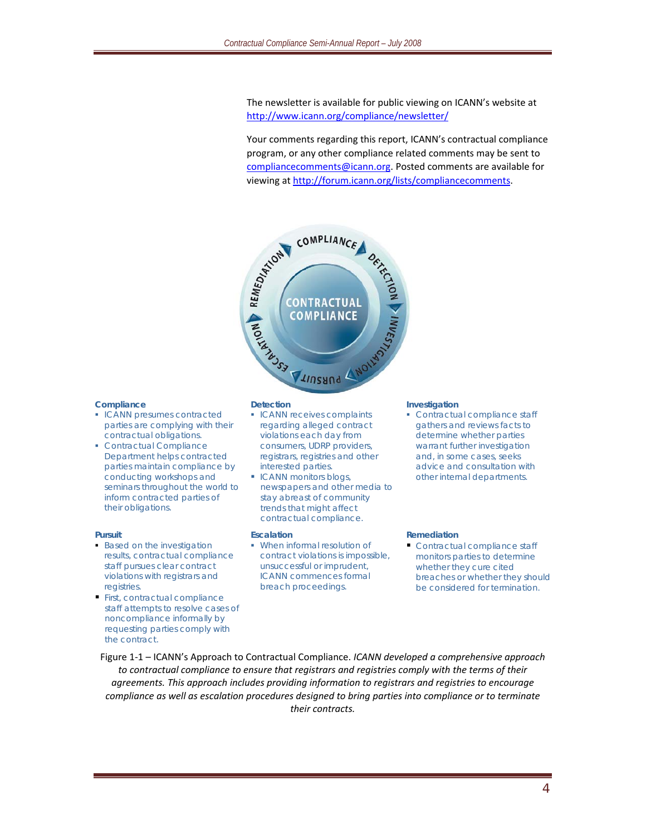The newsletter is available for public viewing on ICANN's website at http://www.icann.org/compliance/newsletter/

Your comments regarding this report, ICANN's contractual compliance program, or any other compliance related comments may be sent to compliancecomments@icann.org. Posted comments are available for viewing at http://forum.icann.org/lists/compliancecomments.



#### **Compliance**

- ICANN presumes contracted parties are complying with their contractual obligations.
- Contractual Compliance Department helps contracted parties maintain compliance by conducting workshops and seminars throughout the world to inform contracted parties of their obligations.

#### **Pursuit**

- **Based on the investigation** results, contractual compliance staff pursues clear contract violations with registrars and registries.
- First, contractual compliance staff attempts to resolve cases of noncompliance informally by requesting parties comply with the contract.

- **ICANN receives complaints** regarding alleged contract violations each day from consumers, UDRP providers, registrars, registries and other interested parties.
- **ICANN monitors blogs,** newspapers and other media to stay abreast of community trends that might affect contractual compliance.

#### **Escalation**

 When informal resolution of contract violations is impossible, unsuccessful or imprudent, ICANN commences formal breach proceedings.

#### **Investigation**

• Contractual compliance staff gathers and reviews facts to determine whether parties warrant further investigation and, in some cases, seeks advice and consultation with other internal departments.

#### **Remediation**

Contractual compliance staff monitors parties to determine whether they cure cited breaches or whether they should be considered for termination.

Figure 1‐1 – ICANN's Approach to Contractual Compliance. *ICANN developed a comprehensive approach to contractual compliance to ensure that registrars and registries comply with the terms of their agreements. This approach includes providing information to registrars and registries to encourage compliance as well as escalation procedures designed to bring parties into compliance or to terminate their contracts.*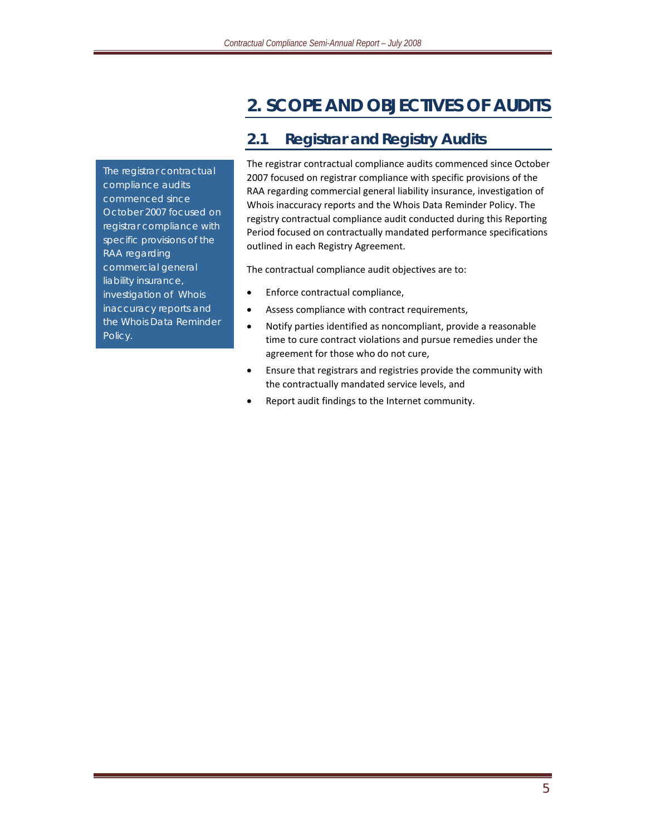# **2. SCOPE AND OBJECTIVES OF AUDITS**

*The registrar contractual compliance audits commenced since October 2007 focused on registrar compliance with specific provisions of the RAA regarding commercial general liability insurance, investigation of Whois inaccuracy reports and the Whois Data Reminder Policy.*

# **2.1 Registrar and Registry Audits**

The registrar contractual compliance audits commenced since October 2007 focused on registrar compliance with specific provisions of the RAA regarding commercial general liability insurance, investigation of Whois inaccuracy reports and the Whois Data Reminder Policy. The registry contractual compliance audit conducted during this Reporting Period focused on contractually mandated performance specifications outlined in each Registry Agreement.

The contractual compliance audit objectives are to:

- Enforce contractual compliance,
- Assess compliance with contract requirements,
- Notify parties identified as noncompliant, provide a reasonable time to cure contract violations and pursue remedies under the agreement for those who do not cure,
- Ensure that registrars and registries provide the community with the contractually mandated service levels, and
- Report audit findings to the Internet community.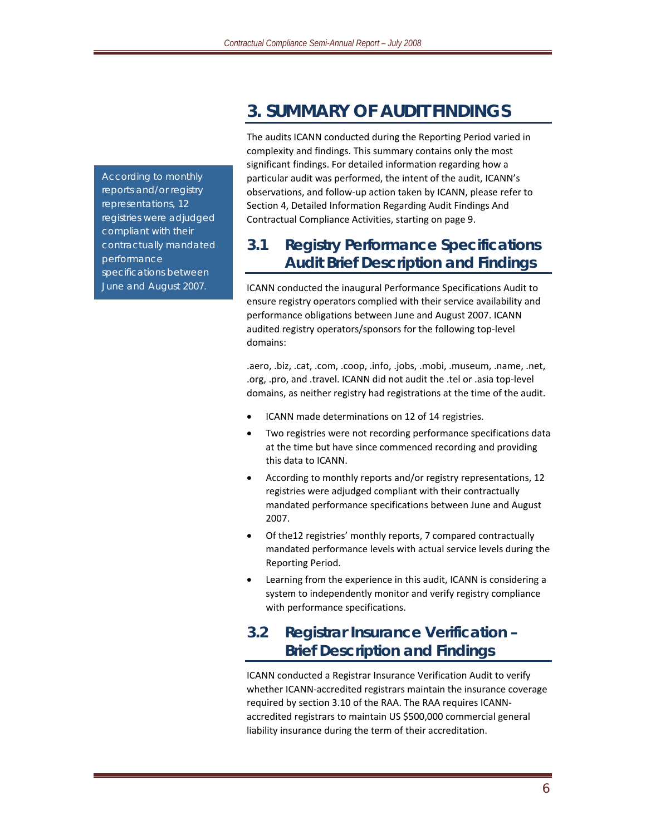*According to monthly reports and/or registry representations, 12 registries were adjudged compliant with their contractually mandated performance specifications between June and August 2007.*

# **3. SUMMARY OF AUDIT FINDINGS**

The audits ICANN conducted during the Reporting Period varied in complexity and findings. This summary contains only the most significant findings. For detailed information regarding how a particular audit was performed, the intent of the audit, ICANN's observations, and follow‐up action taken by ICANN, please refer to Section 4, Detailed Information Regarding Audit Findings And Contractual Compliance Activities, starting on page 9.

# **3.1 Registry Performance Specifications Audit Brief Description and Findings**

ICANN conducted the inaugural Performance Specifications Audit to ensure registry operators complied with their service availability and performance obligations between June and August 2007. ICANN audited registry operators/sponsors for the following top‐level domains:

.aero, .biz, .cat, .com, .coop, .info, .jobs, .mobi, .museum, .name, .net, .org, .pro, and .travel. ICANN did not audit the .tel or .asia top‐level domains, as neither registry had registrations at the time of the audit.

- ICANN made determinations on 12 of 14 registries.
- Two registries were not recording performance specifications data at the time but have since commenced recording and providing this data to ICANN.
- According to monthly reports and/or registry representations, 12 registries were adjudged compliant with their contractually mandated performance specifications between June and August 2007.
- Of the12 registries' monthly reports, 7 compared contractually mandated performance levels with actual service levels during the Reporting Period.
- Learning from the experience in this audit, ICANN is considering a system to independently monitor and verify registry compliance with performance specifications.

# **3.2 Registrar Insurance Verification – Brief Description and Findings**

ICANN conducted a Registrar Insurance Verification Audit to verify whether ICANN‐accredited registrars maintain the insurance coverage required by section 3.10 of the RAA. The RAA requires ICANN‐ accredited registrars to maintain US \$500,000 commercial general liability insurance during the term of their accreditation.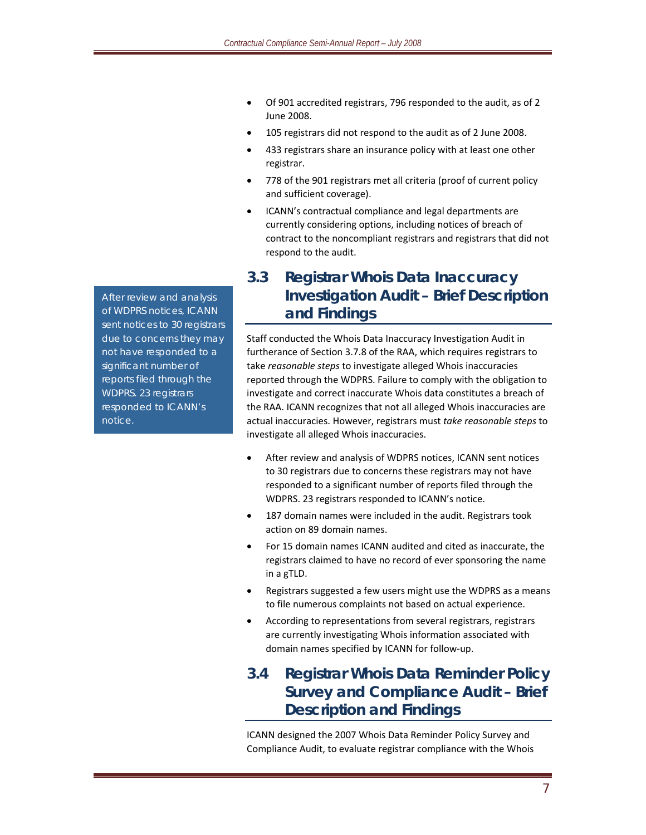- Of 901 accredited registrars, 796 responded to the audit, as of 2 June 2008.
- 105 registrars did not respond to the audit as of 2 June 2008.
- 433 registrars share an insurance policy with at least one other registrar.
- 778 of the 901 registrars met all criteria (proof of current policy and sufficient coverage).
- ICANN's contractual compliance and legal departments are currently considering options, including notices of breach of contract to the noncompliant registrars and registrars that did not respond to the audit.

# **3.3 Registrar Whois Data Inaccuracy Investigation Audit – Brief Description and Findings**

Staff conducted the Whois Data Inaccuracy Investigation Audit in furtherance of Section 3.7.8 of the RAA, which requires registrars to take *reasonable steps* to investigate alleged Whois inaccuracies reported through the WDPRS. Failure to comply with the obligation to investigate and correct inaccurate Whois data constitutes a breach of the RAA. ICANN recognizes that not all alleged Whois inaccuracies are actual inaccuracies. However, registrars must *take reasonable steps* to investigate all alleged Whois inaccuracies.

- After review and analysis of WDPRS notices, ICANN sent notices to 30 registrars due to concerns these registrars may not have responded to a significant number of reports filed through the WDPRS. 23 registrars responded to ICANN's notice.
- 187 domain names were included in the audit. Registrars took action on 89 domain names.
- For 15 domain names ICANN audited and cited as inaccurate, the registrars claimed to have no record of ever sponsoring the name in a gTLD.
- Registrars suggested a few users might use the WDPRS as a means to file numerous complaints not based on actual experience.
- According to representations from several registrars, registrars are currently investigating Whois information associated with domain names specified by ICANN for follow‐up.

# **3.4 Registrar Whois Data Reminder Policy Survey and Compliance Audit – Brief Description and Findings**

ICANN designed the 2007 Whois Data Reminder Policy Survey and Compliance Audit, to evaluate registrar compliance with the Whois

*After review and analysis of WDPRS notices, ICANN sent notices to 30 registrars due to concerns they may not have responded to a significant number of reports filed through the WDPRS. 23 registrars responded to ICANN's notice.*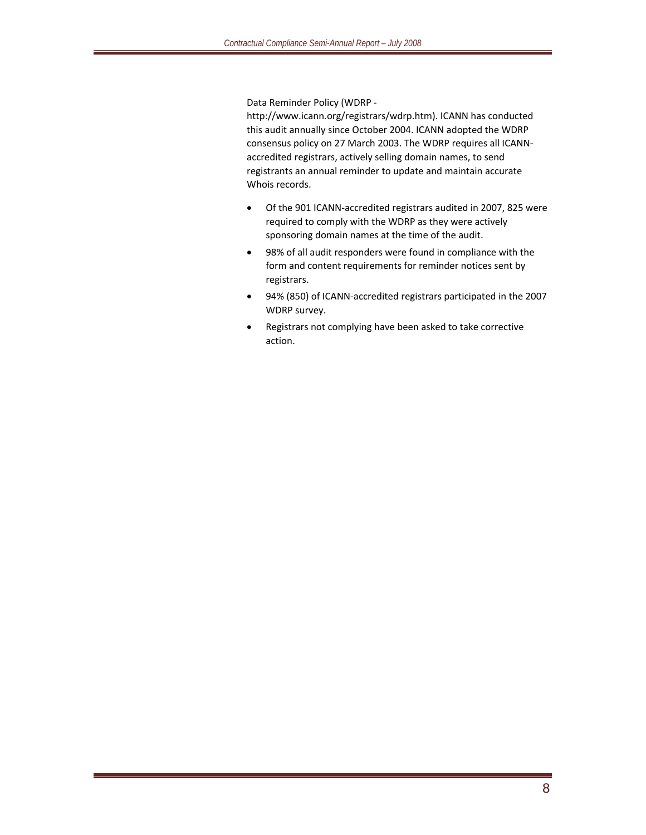Data Reminder Policy (WDRP ‐

http://www.icann.org/registrars/wdrp.htm). ICANN has conducted this audit annually since October 2004. ICANN adopted the WDRP consensus policy on 27 March 2003. The WDRP requires all ICANN‐ accredited registrars, actively selling domain names, to send registrants an annual reminder to update and maintain accurate Whois records.

- Of the 901 ICANN‐accredited registrars audited in 2007, 825 were required to comply with the WDRP as they were actively sponsoring domain names at the time of the audit.
- 98% of all audit responders were found in compliance with the form and content requirements for reminder notices sent by registrars.
- 94% (850) of ICANN‐accredited registrars participated in the 2007 WDRP survey.
- Registrars not complying have been asked to take corrective action.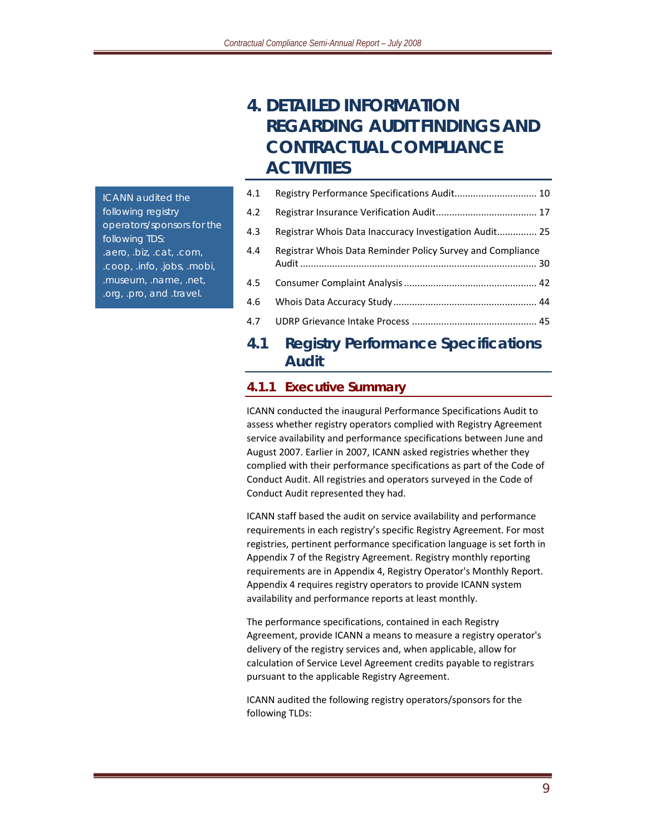# **4. DETAILED INFORMATION REGARDING AUDIT FINDINGS AND CONTRACTUAL COMPLIANCE ACTIVITIES**

*ICANN audited the following registry operators/sponsors for the following TDS: .aero, .biz, .cat, .com, .coop, .info, .jobs, .mobi, .museum, .name, .net, .org, .pro, and .travel.*

| 4.1 |                                                            |  |
|-----|------------------------------------------------------------|--|
| 4.2 |                                                            |  |
| 4.3 | Registrar Whois Data Inaccuracy Investigation Audit 25     |  |
| 4.4 | Registrar Whois Data Reminder Policy Survey and Compliance |  |
| 4.5 |                                                            |  |
| 4.6 |                                                            |  |
|     |                                                            |  |
|     |                                                            |  |

### **4.1 Registry Performance Specifications Audit**

#### **4.1.1 Executive Summary**

ICANN conducted the inaugural Performance Specifications Audit to assess whether registry operators complied with Registry Agreement service availability and performance specifications between June and August 2007. Earlier in 2007, ICANN asked registries whether they complied with their performance specifications as part of the Code of Conduct Audit. All registries and operators surveyed in the Code of Conduct Audit represented they had.

ICANN staff based the audit on service availability and performance requirements in each registry's specific Registry Agreement. For most registries, pertinent performance specification language is set forth in Appendix 7 of the Registry Agreement. Registry monthly reporting requirements are in Appendix 4, Registry Operator's Monthly Report. Appendix 4 requires registry operators to provide ICANN system availability and performance reports at least monthly.

The performance specifications, contained in each Registry Agreement, provide ICANN a means to measure a registry operator's delivery of the registry services and, when applicable, allow for calculation of Service Level Agreement credits payable to registrars pursuant to the applicable Registry Agreement.

ICANN audited the following registry operators/sponsors for the following TLDs: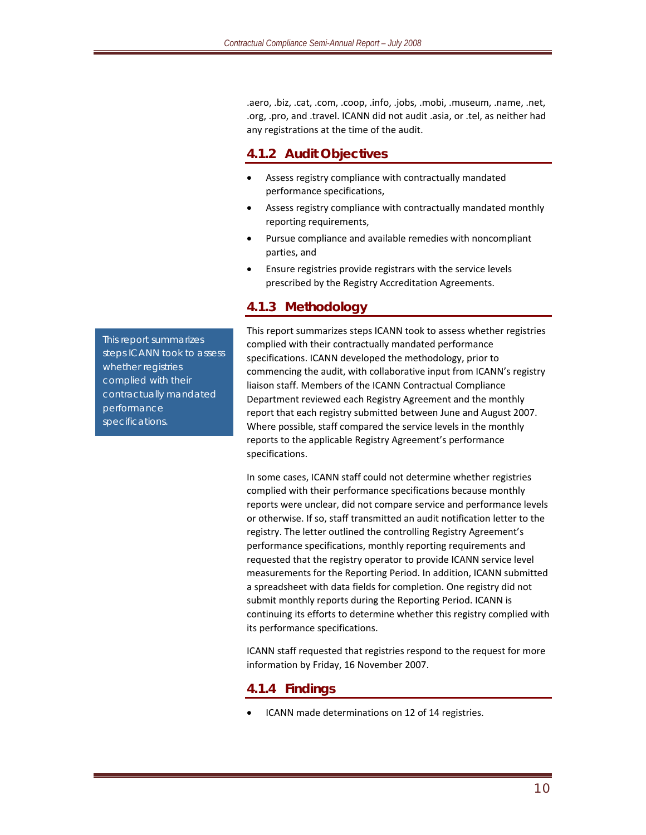.aero, .biz, .cat, .com, .coop, .info, .jobs, .mobi, .museum, .name, .net, .org, .pro, and .travel. ICANN did not audit .asia, or .tel, as neither had any registrations at the time of the audit.

#### **4.1.2 Audit Objectives**

- Assess registry compliance with contractually mandated performance specifications,
- Assess registry compliance with contractually mandated monthly reporting requirements,
- Pursue compliance and available remedies with noncompliant parties, and
- Ensure registries provide registrars with the service levels prescribed by the Registry Accreditation Agreements.

#### **4.1.3 Methodology**

This report summarizes steps ICANN took to assess whether registries complied with their contractually mandated performance specifications. ICANN developed the methodology, prior to commencing the audit, with collaborative input from ICANN's registry liaison staff. Members of the ICANN Contractual Compliance Department reviewed each Registry Agreement and the monthly report that each registry submitted between June and August 2007. Where possible, staff compared the service levels in the monthly reports to the applicable Registry Agreement's performance specifications.

In some cases, ICANN staff could not determine whether registries complied with their performance specifications because monthly reports were unclear, did not compare service and performance levels or otherwise. If so, staff transmitted an audit notification letter to the registry. The letter outlined the controlling Registry Agreement's performance specifications, monthly reporting requirements and requested that the registry operator to provide ICANN service level measurements for the Reporting Period. In addition, ICANN submitted a spreadsheet with data fields for completion. One registry did not submit monthly reports during the Reporting Period. ICANN is continuing its efforts to determine whether this registry complied with its performance specifications.

ICANN staff requested that registries respond to the request for more information by Friday, 16 November 2007.

#### **4.1.4 Findings**

• ICANN made determinations on 12 of 14 registries.

*This report summarizes steps ICANN took to assess whether registries complied with their contractually mandated performance specifications.*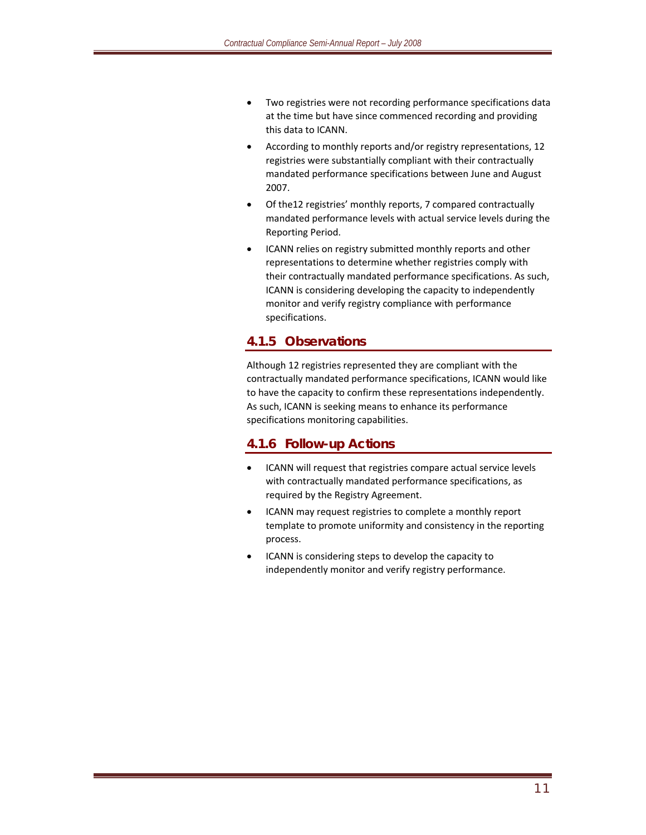- Two registries were not recording performance specifications data at the time but have since commenced recording and providing this data to ICANN.
- According to monthly reports and/or registry representations, 12 registries were substantially compliant with their contractually mandated performance specifications between June and August 2007.
- Of the12 registries' monthly reports, 7 compared contractually mandated performance levels with actual service levels during the Reporting Period.
- ICANN relies on registry submitted monthly reports and other representations to determine whether registries comply with their contractually mandated performance specifications. As such, ICANN is considering developing the capacity to independently monitor and verify registry compliance with performance specifications.

#### **4.1.5 Observations**

Although 12 registries represented they are compliant with the contractually mandated performance specifications, ICANN would like to have the capacity to confirm these representations independently. As such, ICANN is seeking means to enhance its performance specifications monitoring capabilities.

#### **4.1.6 Follow-up Actions**

- ICANN will request that registries compare actual service levels with contractually mandated performance specifications, as required by the Registry Agreement.
- ICANN may request registries to complete a monthly report template to promote uniformity and consistency in the reporting process.
- ICANN is considering steps to develop the capacity to independently monitor and verify registry performance.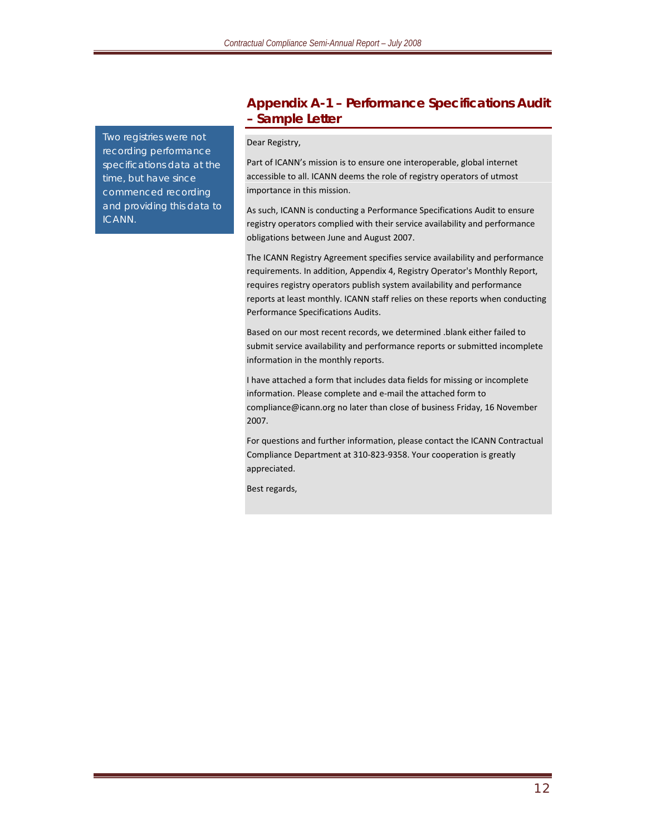*Two registries were not recording performance specifications data at the time, but have since commenced recording and providing this data to ICANN.*

#### **Appendix A-1 – Performance Specifications Audit – Sample Letter**

#### Dear Registry,

Part of ICANN's mission is to ensure one interoperable, global internet accessible to all. ICANN deems the role of registry operators of utmost importance in this mission.

As such, ICANN is conducting a Performance Specifications Audit to ensure registry operators complied with their service availability and performance obligations between June and August 2007.

The ICANN Registry Agreement specifies service availability and performance requirements. In addition, Appendix 4, Registry Operator's Monthly Report, requires registry operators publish system availability and performance reports at least monthly. ICANN staff relies on these reports when conducting Performance Specifications Audits.

Based on our most recent records, we determined .blank either failed to submit service availability and performance reports or submitted incomplete information in the monthly reports.

I have attached a form that includes data fields for missing or incomplete information. Please complete and e‐mail the attached form to compliance@icann.org no later than close of business Friday, 16 November 2007.

For questions and further information, please contact the ICANN Contractual Compliance Department at 310‐823‐9358. Your cooperation is greatly appreciated.

Best regards,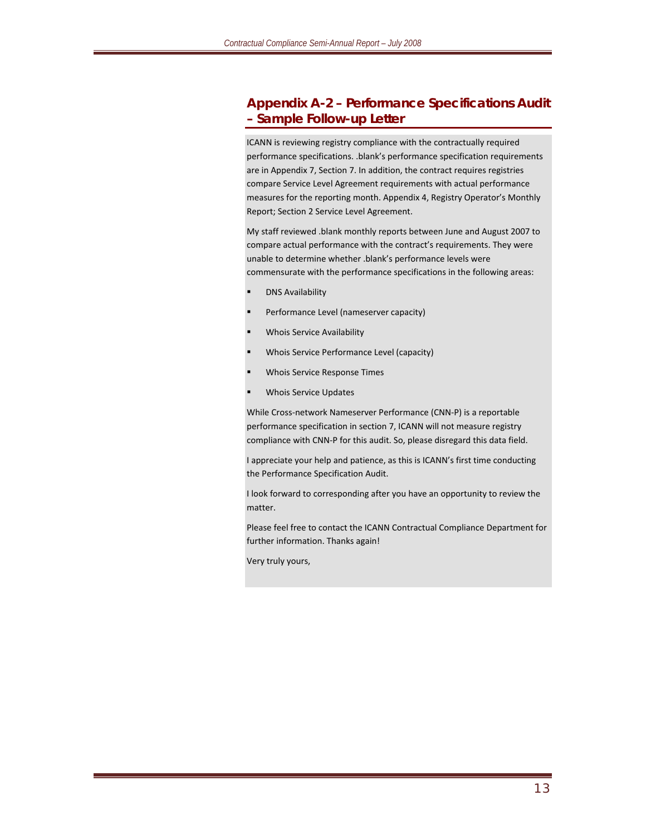#### **Appendix A-2 – Performance Specifications Audit – Sample Follow-up Letter**

ICANN is reviewing registry compliance with the contractually required performance specifications. .blank's performance specification requirements are in Appendix 7, Section 7. In addition, the contract requires registries compare Service Level Agreement requirements with actual performance measures for the reporting month. Appendix 4, Registry Operator's Monthly Report; Section 2 Service Level Agreement.

My staff reviewed .blank monthly reports between June and August 2007 to compare actual performance with the contract's requirements. They were unable to determine whether .blank's performance levels were commensurate with the performance specifications in the following areas:

- DNS Availability
- Performance Level (nameserver capacity)
- Whois Service Availability
- Whois Service Performance Level (capacity)
- Whois Service Response Times
- Whois Service Updates

While Cross‐network Nameserver Performance (CNN‐P) is a reportable performance specification in section 7, ICANN will not measure registry compliance with CNN‐P for this audit. So, please disregard this data field.

I appreciate your help and patience, as this is ICANN's first time conducting the Performance Specification Audit.

I look forward to corresponding after you have an opportunity to review the matter.

Please feel free to contact the ICANN Contractual Compliance Department for further information. Thanks again!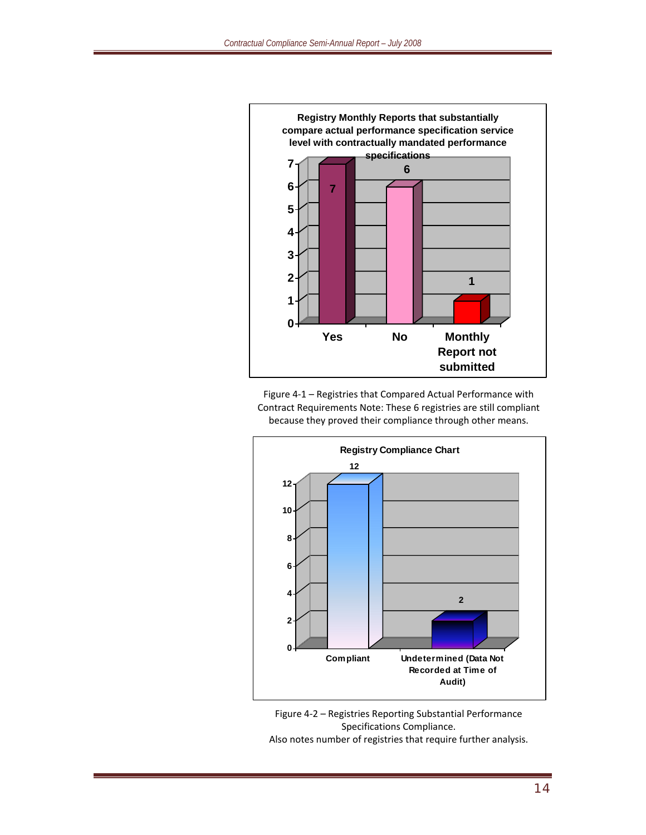

Figure 4‐1 – Registries that Compared Actual Performance with Contract Requirements Note: These 6 registries are still compliant because they proved their compliance through other means.



Figure 4‐2 – Registries Reporting Substantial Performance Specifications Compliance. Also notes number of registries that require further analysis.

14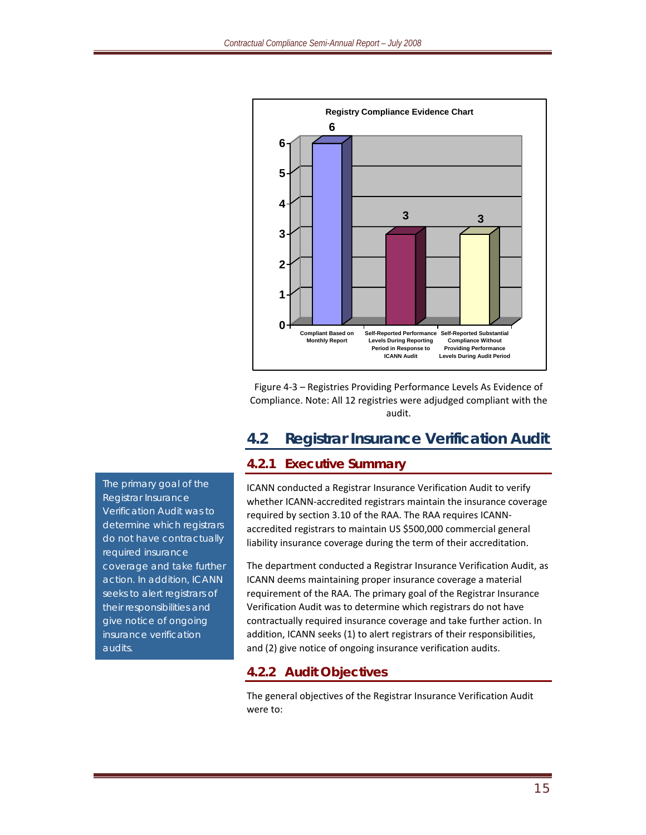

Figure 4‐3 – Registries Providing Performance Levels As Evidence of Compliance. Note: All 12 registries were adjudged compliant with the audit.

# **4.2 Registrar Insurance Verification Audit**

### **4.2.1 Executive Summary**

ICANN conducted a Registrar Insurance Verification Audit to verify whether ICANN‐accredited registrars maintain the insurance coverage required by section 3.10 of the RAA. The RAA requires ICANN‐ accredited registrars to maintain US \$500,000 commercial general liability insurance coverage during the term of their accreditation.

The department conducted a Registrar Insurance Verification Audit, as ICANN deems maintaining proper insurance coverage a material requirement of the RAA. The primary goal of the Registrar Insurance Verification Audit was to determine which registrars do not have contractually required insurance coverage and take further action. In addition, ICANN seeks (1) to alert registrars of their responsibilities, and (2) give notice of ongoing insurance verification audits.

### **4.2.2 Audit Objectives**

The general objectives of the Registrar Insurance Verification Audit were to:

*The primary goal of the Registrar Insurance Verification Audit was to determine which registrars do not have contractually required insurance coverage and take further action. In addition, ICANN seeks to alert registrars of their responsibilities and give notice of ongoing insurance verification audits.*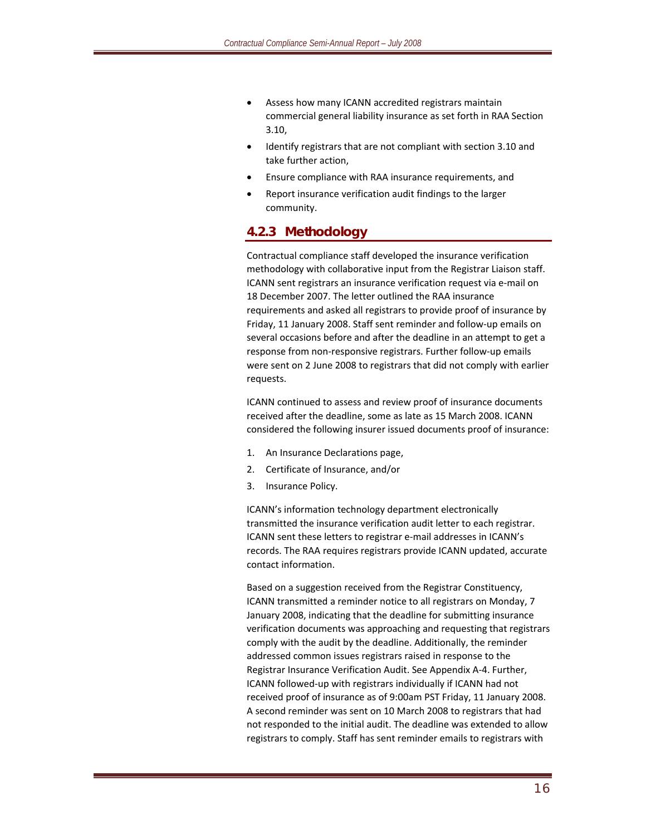- Assess how many ICANN accredited registrars maintain commercial general liability insurance as set forth in RAA Section 3.10,
- Identify registrars that are not compliant with section 3.10 and take further action,
- Ensure compliance with RAA insurance requirements, and
- Report insurance verification audit findings to the larger community.

#### **4.2.3 Methodology**

Contractual compliance staff developed the insurance verification methodology with collaborative input from the Registrar Liaison staff. ICANN sent registrars an insurance verification request via e‐mail on 18 December 2007. The letter outlined the RAA insurance requirements and asked all registrars to provide proof of insurance by Friday, 11 January 2008. Staff sent reminder and follow‐up emails on several occasions before and after the deadline in an attempt to get a response from non‐responsive registrars. Further follow‐up emails were sent on 2 June 2008 to registrars that did not comply with earlier requests.

ICANN continued to assess and review proof of insurance documents received after the deadline, some as late as 15 March 2008. ICANN considered the following insurer issued documents proof of insurance:

- 1. An Insurance Declarations page,
- 2. Certificate of Insurance, and/or
- 3. Insurance Policy.

ICANN's information technology department electronically transmitted the insurance verification audit letter to each registrar. ICANN sent these letters to registrar e‐mail addresses in ICANN's records. The RAA requires registrars provide ICANN updated, accurate contact information.

Based on a suggestion received from the Registrar Constituency, ICANN transmitted a reminder notice to all registrars on Monday, 7 January 2008, indicating that the deadline for submitting insurance verification documents was approaching and requesting that registrars comply with the audit by the deadline. Additionally, the reminder addressed common issues registrars raised in response to the Registrar Insurance Verification Audit. See Appendix A‐4. Further, ICANN followed‐up with registrars individually if ICANN had not received proof of insurance as of 9:00am PST Friday, 11 January 2008. A second reminder was sent on 10 March 2008 to registrars that had not responded to the initial audit. The deadline was extended to allow registrars to comply. Staff has sent reminder emails to registrars with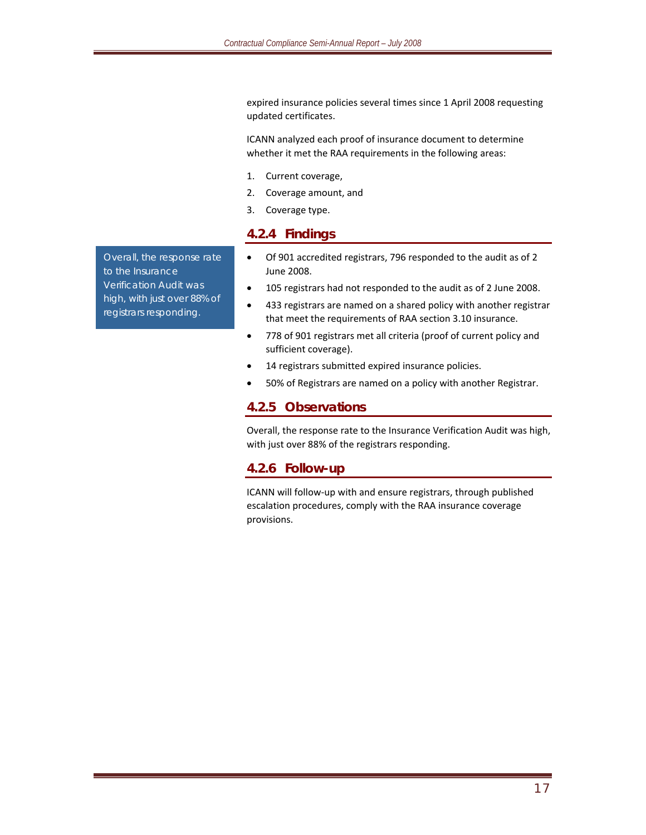expired insurance policies several times since 1 April 2008 requesting updated certificates.

ICANN analyzed each proof of insurance document to determine whether it met the RAA requirements in the following areas:

- 1. Current coverage,
- 2. Coverage amount, and
- 3. Coverage type.

#### **4.2.4 Findings**

- Of 901 accredited registrars, 796 responded to the audit as of 2 June 2008.
- 105 registrars had not responded to the audit as of 2 June 2008.
- 433 registrars are named on a shared policy with another registrar that meet the requirements of RAA section 3.10 insurance.
- 778 of 901 registrars met all criteria (proof of current policy and sufficient coverage).
- 14 registrars submitted expired insurance policies.
- 50% of Registrars are named on a policy with another Registrar.

#### **4.2.5 Observations**

Overall, the response rate to the Insurance Verification Audit was high, with just over 88% of the registrars responding.

#### **4.2.6 Follow-up**

ICANN will follow‐up with and ensure registrars, through published escalation procedures, comply with the RAA insurance coverage provisions.

*Overall, the response rate to the Insurance Verification Audit was high, with just over 88% of registrars responding.*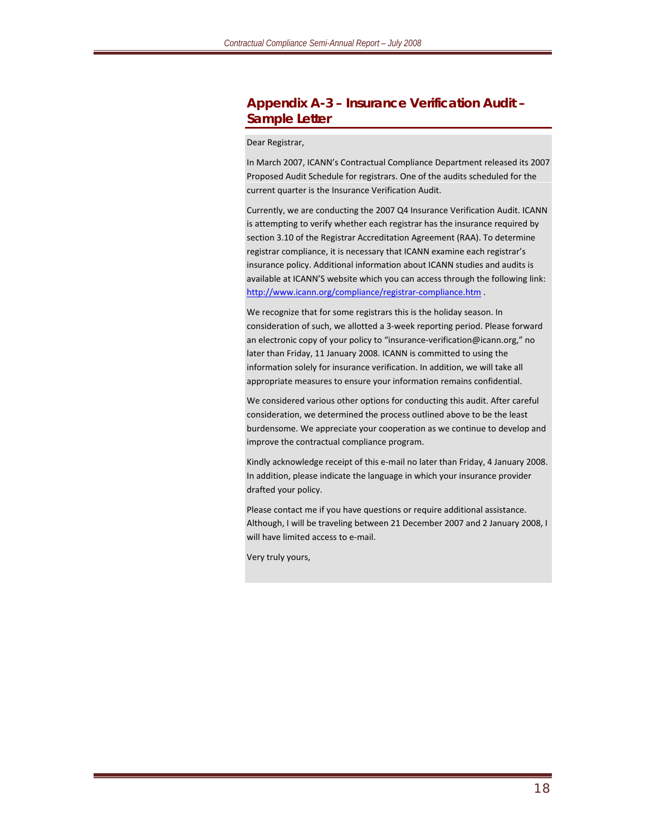#### **Appendix A-3 – Insurance Verification Audit – Sample Letter**

Dear Registrar,

In March 2007, ICANN's Contractual Compliance Department released its 2007 Proposed Audit Schedule for registrars. One of the audits scheduled for the current quarter is the Insurance Verification Audit.

Currently, we are conducting the 2007 Q4 Insurance Verification Audit. ICANN is attempting to verify whether each registrar has the insurance required by section 3.10 of the Registrar Accreditation Agreement (RAA). To determine registrar compliance, it is necessary that ICANN examine each registrar's insurance policy. Additional information about ICANN studies and audits is available at ICANN'S website which you can access through the following link: http://www.icann.org/compliance/registrar-compliance.htm .

We recognize that for some registrars this is the holiday season. In consideration of such, we allotted a 3‐week reporting period. Please forward an electronic copy of your policy to "insurance‐verification@icann.org," no later than Friday, 11 January 2008. ICANN is committed to using the information solely for insurance verification. In addition, we will take all appropriate measures to ensure your information remains confidential.

We considered various other options for conducting this audit. After careful consideration, we determined the process outlined above to be the least burdensome. We appreciate your cooperation as we continue to develop and improve the contractual compliance program.

Kindly acknowledge receipt of this e‐mail no later than Friday, 4 January 2008. In addition, please indicate the language in which your insurance provider drafted your policy.

Please contact me if you have questions or require additional assistance. Although, I will be traveling between 21 December 2007 and 2 January 2008, I will have limited access to e-mail.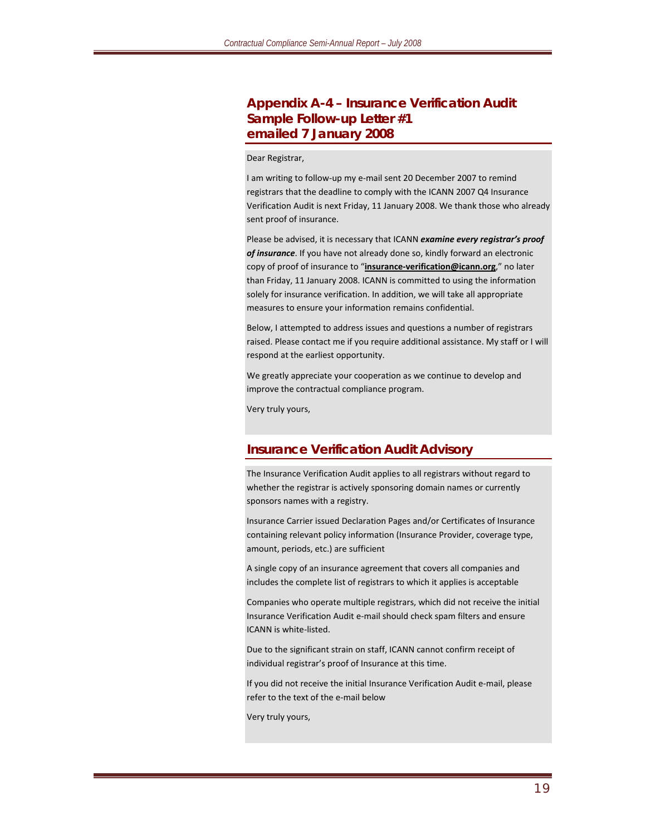#### **Appendix A-4 – Insurance Verification Audit Sample Follow-up Letter #1 emailed 7 January 2008**

#### Dear Registrar,

I am writing to follow‐up my e‐mail sent 20 December 2007 to remind registrars that the deadline to comply with the ICANN 2007 Q4 Insurance Verification Audit is next Friday, 11 January 2008. We thank those who already sent proof of insurance.

Please be advised, it is necessary that ICANN *examine every registrar's proof of insurance*. If you have not already done so, kindly forward an electronic copy of proof of insurance to "*insurance-verification@icann.org*," no later than Friday, 11 January 2008. ICANN is committed to using the information solely for insurance verification. In addition, we will take all appropriate measures to ensure your information remains confidential.

Below, I attempted to address issues and questions a number of registrars raised. Please contact me if you require additional assistance. My staff or I will respond at the earliest opportunity.

We greatly appreciate your cooperation as we continue to develop and improve the contractual compliance program.

Very truly yours,

#### **Insurance Verification Audit Advisory**

The Insurance Verification Audit applies to all registrars without regard to whether the registrar is actively sponsoring domain names or currently sponsors names with a registry.

Insurance Carrier issued Declaration Pages and/or Certificates of Insurance containing relevant policy information (Insurance Provider, coverage type, amount, periods, etc.) are sufficient

A single copy of an insurance agreement that covers all companies and includes the complete list of registrars to which it applies is acceptable

Companies who operate multiple registrars, which did not receive the initial Insurance Verification Audit e‐mail should check spam filters and ensure ICANN is white‐listed.

Due to the significant strain on staff, ICANN cannot confirm receipt of individual registrar's proof of Insurance at this time.

If you did not receive the initial Insurance Verification Audit e‐mail, please refer to the text of the e‐mail below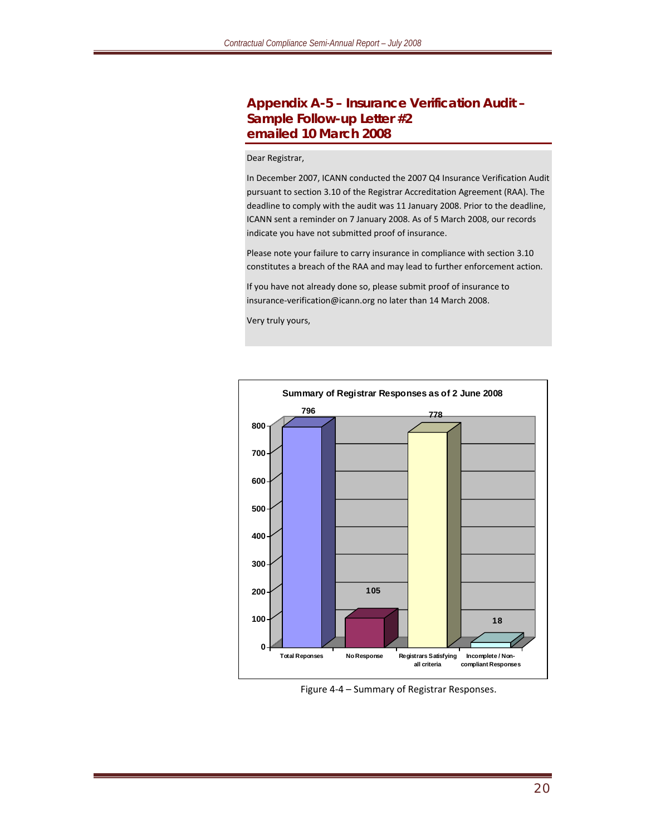#### **Appendix A-5 – Insurance Verification Audit – Sample Follow-up Letter #2 emailed 10 March 2008**

#### Dear Registrar,

In December 2007, ICANN conducted the 2007 Q4 Insurance Verification Audit pursuant to section 3.10 of the Registrar Accreditation Agreement (RAA). The deadline to comply with the audit was 11 January 2008. Prior to the deadline, ICANN sent a reminder on 7 January 2008. As of 5 March 2008, our records indicate you have not submitted proof of insurance.

Please note your failure to carry insurance in compliance with section 3.10 constitutes a breach of the RAA and may lead to further enforcement action.

If you have not already done so, please submit proof of insurance to insurance‐verification@icann.org no later than 14 March 2008.



Figure <sup>4</sup>‐<sup>4</sup> – Summary of Registrar Responses.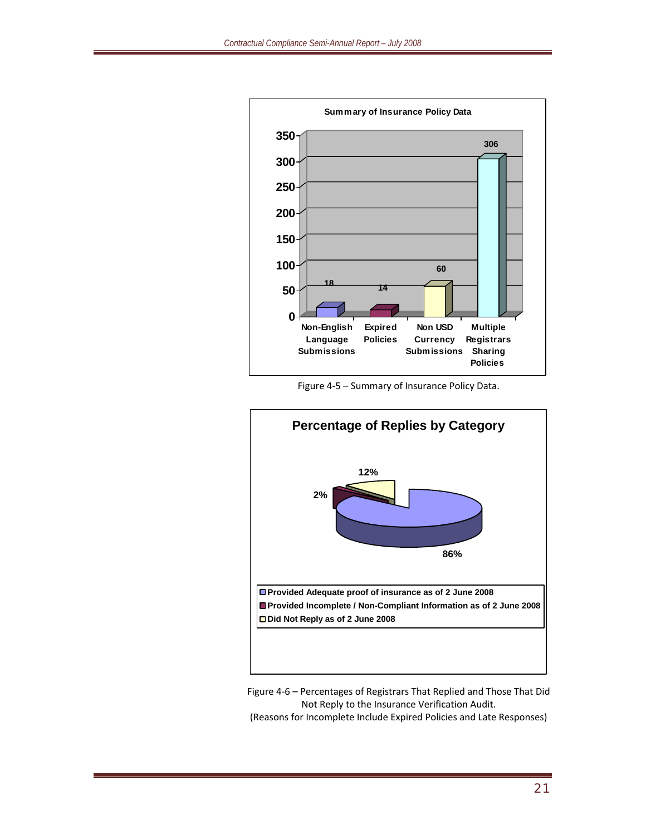

Figure 4‐5 – Summary of Insurance Policy Data.



Figure 4‐6 – Percentages of Registrars That Replied and Those That Did Not Reply to the Insurance Verification Audit.

(Reasons for Incomplete Include Expired Policies and Late Responses)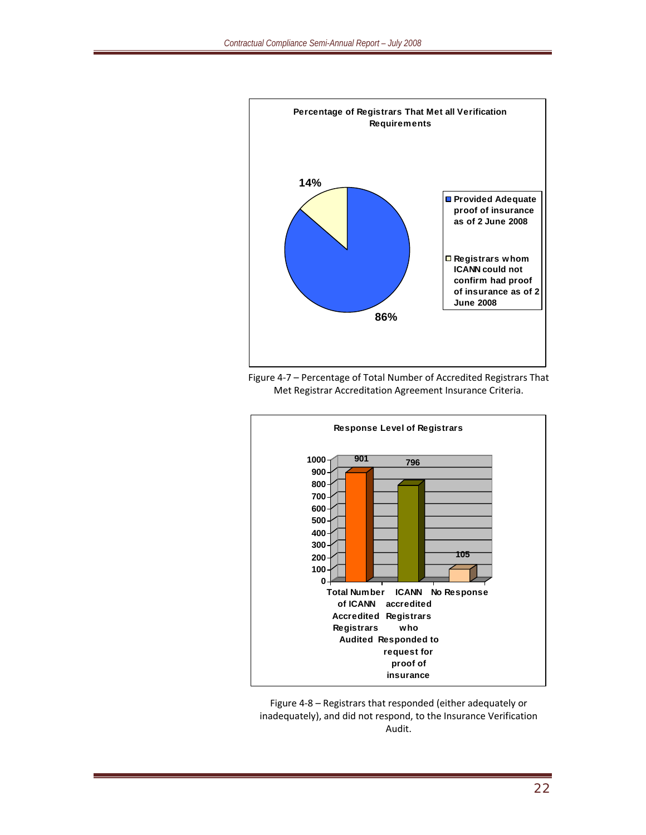





Figure 4‐8 – Registrars that responded (either adequately or inadequately), and did not respond, to the Insurance Verification Audit.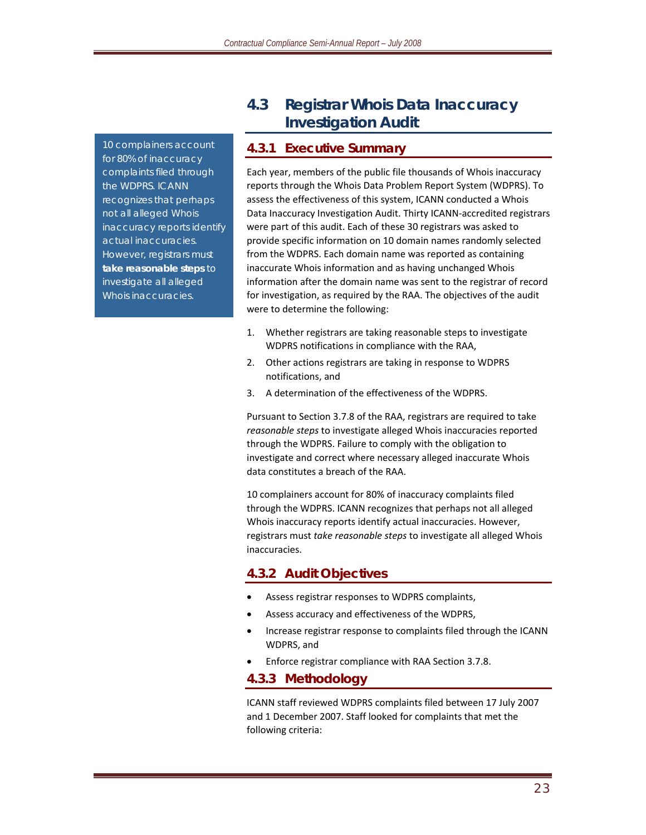*10 complainers account for 80% of inaccuracy complaints filed through the WDPRS. ICANN recognizes that perhaps not all alleged Whois inaccuracy reports identify actual inaccuracies. However, registrars must take reasonable steps to investigate all alleged Whois inaccuracies.* 

# **4.3 Registrar Whois Data Inaccuracy Investigation Audit**

#### **4.3.1 Executive Summary**

Each year, members of the public file thousands of Whois inaccuracy reports through the Whois Data Problem Report System (WDPRS). To assess the effectiveness of this system, ICANN conducted a Whois Data Inaccuracy Investigation Audit. Thirty ICANN‐accredited registrars were part of this audit. Each of these 30 registrars was asked to provide specific information on 10 domain names randomly selected from the WDPRS. Each domain name was reported as containing inaccurate Whois information and as having unchanged Whois information after the domain name was sent to the registrar of record for investigation, as required by the RAA. The objectives of the audit were to determine the following:

- 1. Whether registrars are taking reasonable steps to investigate WDPRS notifications in compliance with the RAA,
- 2. Other actions registrars are taking in response to WDPRS notifications, and
- 3. A determination of the effectiveness of the WDPRS.

Pursuant to Section 3.7.8 of the RAA, registrars are required to take *reasonable steps* to investigate alleged Whois inaccuracies reported through the WDPRS. Failure to comply with the obligation to investigate and correct where necessary alleged inaccurate Whois data constitutes a breach of the RAA.

10 complainers account for 80% of inaccuracy complaints filed through the WDPRS. ICANN recognizes that perhaps not all alleged Whois inaccuracy reports identify actual inaccuracies. However, registrars must *take reasonable steps* to investigate all alleged Whois inaccuracies.

### **4.3.2 Audit Objectives**

- Assess registrar responses to WDPRS complaints,
- Assess accuracy and effectiveness of the WDPRS,
- Increase registrar response to complaints filed through the ICANN WDPRS, and
- Enforce registrar compliance with RAA Section 3.7.8.

#### **4.3.3 Methodology**

ICANN staff reviewed WDPRS complaints filed between 17 July 2007 and 1 December 2007. Staff looked for complaints that met the following criteria: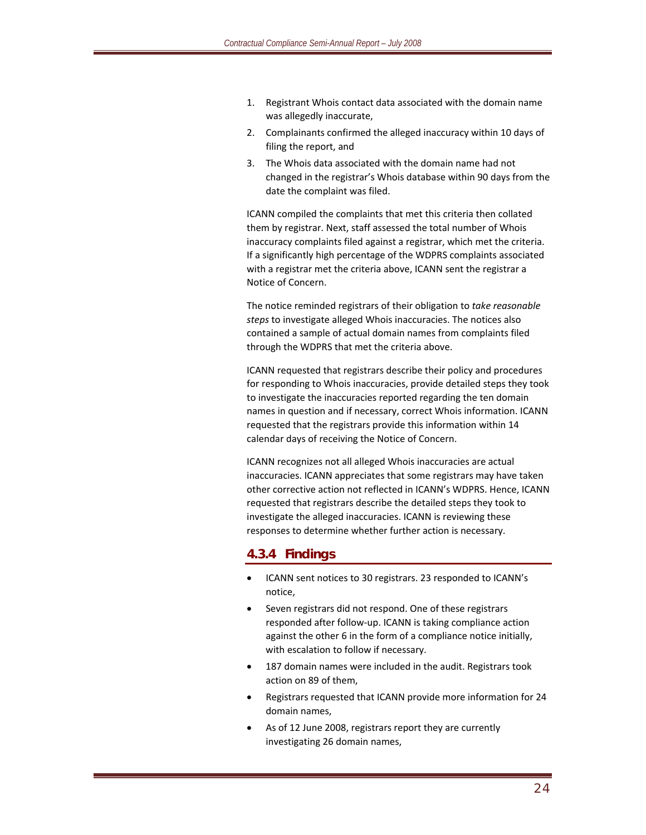- 1. Registrant Whois contact data associated with the domain name was allegedly inaccurate,
- 2. Complainants confirmed the alleged inaccuracy within 10 days of filing the report, and
- 3. The Whois data associated with the domain name had not changed in the registrar's Whois database within 90 days from the date the complaint was filed.

ICANN compiled the complaints that met this criteria then collated them by registrar. Next, staff assessed the total number of Whois inaccuracy complaints filed against a registrar, which met the criteria. If a significantly high percentage of the WDPRS complaints associated with a registrar met the criteria above, ICANN sent the registrar a Notice of Concern.

The notice reminded registrars of their obligation to *take reasonable steps* to investigate alleged Whois inaccuracies. The notices also contained a sample of actual domain names from complaints filed through the WDPRS that met the criteria above.

ICANN requested that registrars describe their policy and procedures for responding to Whois inaccuracies, provide detailed steps they took to investigate the inaccuracies reported regarding the ten domain names in question and if necessary, correct Whois information. ICANN requested that the registrars provide this information within 14 calendar days of receiving the Notice of Concern.

ICANN recognizes not all alleged Whois inaccuracies are actual inaccuracies. ICANN appreciates that some registrars may have taken other corrective action not reflected in ICANN's WDPRS. Hence, ICANN requested that registrars describe the detailed steps they took to investigate the alleged inaccuracies. ICANN is reviewing these responses to determine whether further action is necessary.

#### **4.3.4 Findings**

- ICANN sent notices to 30 registrars. 23 responded to ICANN's notice,
- Seven registrars did not respond. One of these registrars responded after follow‐up. ICANN is taking compliance action against the other 6 in the form of a compliance notice initially, with escalation to follow if necessary.
- 187 domain names were included in the audit. Registrars took action on 89 of them,
- Registrars requested that ICANN provide more information for 24 domain names,
- As of 12 June 2008, registrars report they are currently investigating 26 domain names,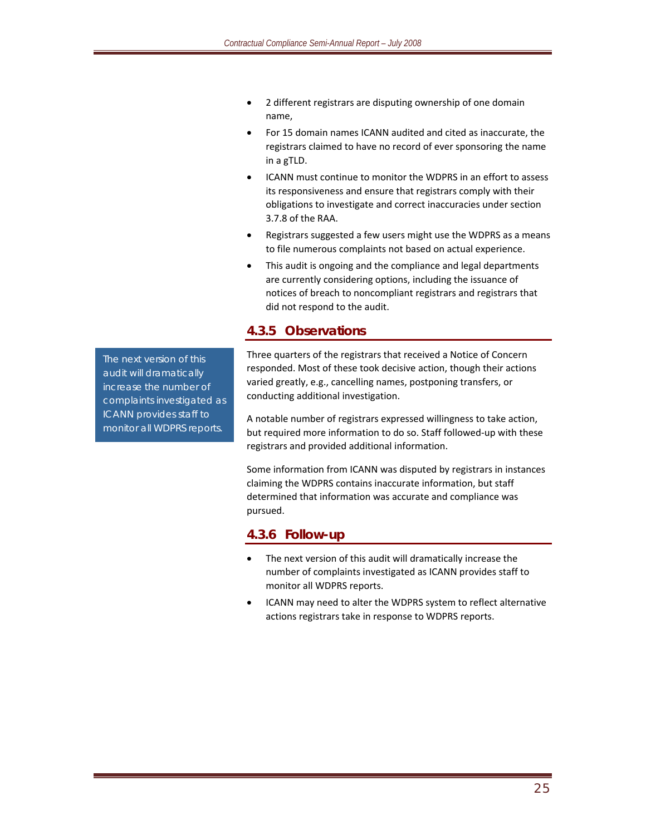- 2 different registrars are disputing ownership of one domain name,
- For 15 domain names ICANN audited and cited as inaccurate, the registrars claimed to have no record of ever sponsoring the name in a gTLD.
- ICANN must continue to monitor the WDPRS in an effort to assess its responsiveness and ensure that registrars comply with their obligations to investigate and correct inaccuracies under section 3.7.8 of the RAA.
- Registrars suggested a few users might use the WDPRS as a means to file numerous complaints not based on actual experience.
- This audit is ongoing and the compliance and legal departments are currently considering options, including the issuance of notices of breach to noncompliant registrars and registrars that did not respond to the audit.

### **4.3.5 Observations**

Three quarters of the registrars that received a Notice of Concern responded. Most of these took decisive action, though their actions varied greatly, e.g., cancelling names, postponing transfers, or conducting additional investigation.

A notable number of registrars expressed willingness to take action, but required more information to do so. Staff followed‐up with these registrars and provided additional information.

Some information from ICANN was disputed by registrars in instances claiming the WDPRS contains inaccurate information, but staff determined that information was accurate and compliance was pursued.

#### **4.3.6 Follow-up**

- The next version of this audit will dramatically increase the number of complaints investigated as ICANN provides staff to monitor all WDPRS reports.
- ICANN may need to alter the WDPRS system to reflect alternative actions registrars take in response to WDPRS reports.

*The next version of this audit will dramatically increase the number of complaints investigated as ICANN provides staff to monitor all WDPRS reports.*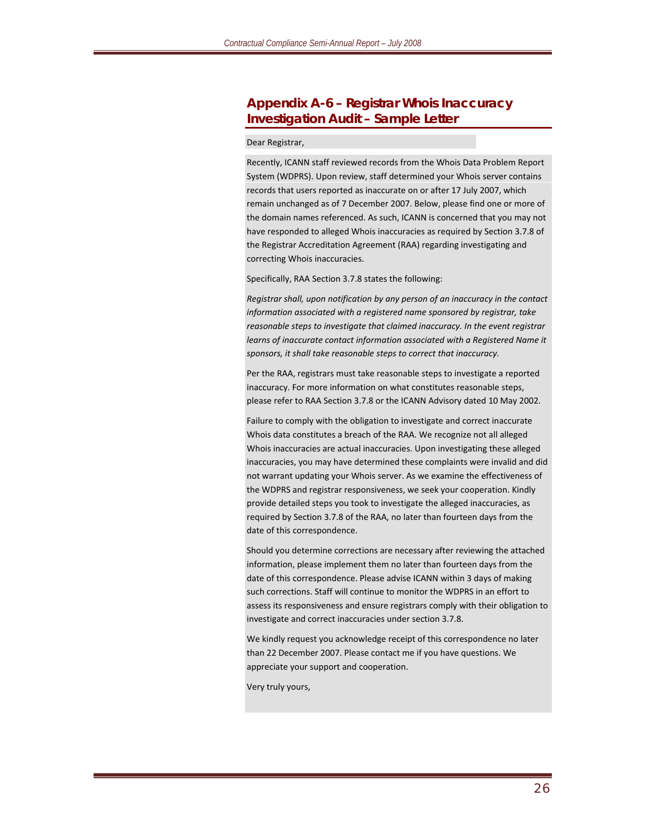#### **Appendix A-6 – Registrar Whois Inaccuracy Investigation Audit – Sample Letter**

#### Dear Registrar,

Recently, ICANN staff reviewed records from the Whois Data Problem Report System (WDPRS). Upon review, staff determined your Whois server contains records that users reported as inaccurate on or after 17 July 2007, which remain unchanged as of 7 December 2007. Below, please find one or more of the domain names referenced. As such, ICANN is concerned that you may not have responded to alleged Whois inaccuracies as required by Section 3.7.8 of the Registrar Accreditation Agreement (RAA) regarding investigating and correcting Whois inaccuracies.

Specifically, RAA Section 3.7.8 states the following:

*Registrar shall, upon notification by any person of an inaccuracy in the contact information associated with a registered name sponsored by registrar, take reasonable steps to investigate that claimed inaccuracy. In the event registrar learns of inaccurate contact information associated with a Registered Name it sponsors, it shall take reasonable steps to correct that inaccuracy.*

Per the RAA, registrars must take reasonable steps to investigate a reported inaccuracy. For more information on what constitutes reasonable steps, please refer to RAA Section 3.7.8 or the ICANN Advisory dated 10 May 2002.

Failure to comply with the obligation to investigate and correct inaccurate Whois data constitutes a breach of the RAA. We recognize not all alleged Whois inaccuracies are actual inaccuracies. Upon investigating these alleged inaccuracies, you may have determined these complaints were invalid and did not warrant updating your Whois server. As we examine the effectiveness of the WDPRS and registrar responsiveness, we seek your cooperation. Kindly provide detailed steps you took to investigate the alleged inaccuracies, as required by Section 3.7.8 of the RAA, no later than fourteen days from the date of this correspondence.

Should you determine corrections are necessary after reviewing the attached information, please implement them no later than fourteen days from the date of this correspondence. Please advise ICANN within 3 days of making such corrections. Staff will continue to monitor the WDPRS in an effort to assess its responsiveness and ensure registrars comply with their obligation to investigate and correct inaccuracies under section 3.7.8.

We kindly request you acknowledge receipt of this correspondence no later than 22 December 2007. Please contact me if you have questions. We appreciate your support and cooperation.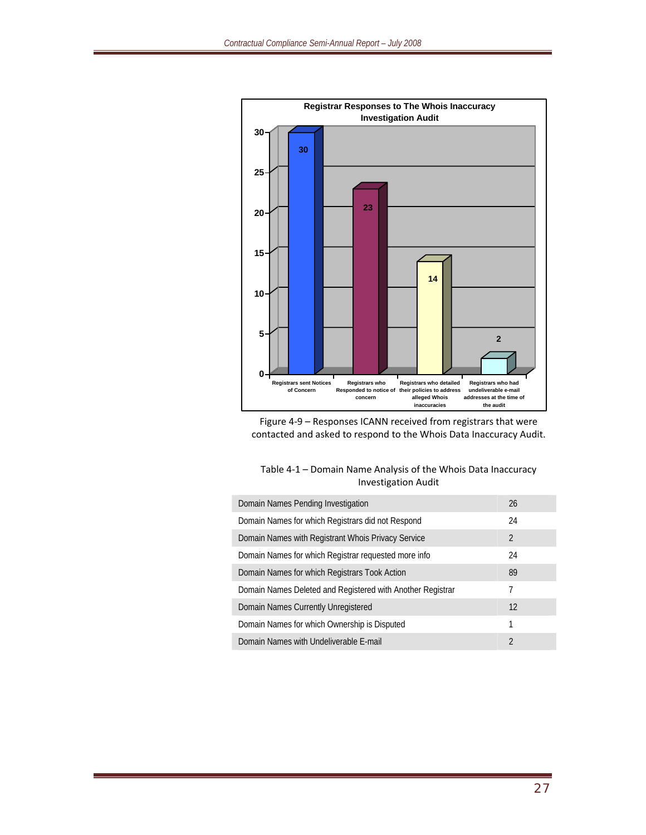

Figure 4‐9 – Responses ICANN received from registrars that were contacted and asked to respond to the Whois Data Inaccuracy Audit.

| Table 4-1 – Domain Name Analysis of the Whois Data Inaccuracy |  |
|---------------------------------------------------------------|--|
| <b>Investigation Audit</b>                                    |  |

| Domain Names Pending Investigation                         | 26             |
|------------------------------------------------------------|----------------|
| Domain Names for which Registrars did not Respond          | 24             |
| Domain Names with Registrant Whois Privacy Service         | $\overline{2}$ |
| Domain Names for which Registrar requested more info       | 24             |
| Domain Names for which Registrars Took Action              | 89             |
| Domain Names Deleted and Registered with Another Registrar | 7              |
| Domain Names Currently Unregistered                        | 12             |
| Domain Names for which Ownership is Disputed               | 1              |
| Domain Names with Undeliverable E-mail                     | $\mathfrak{D}$ |
|                                                            |                |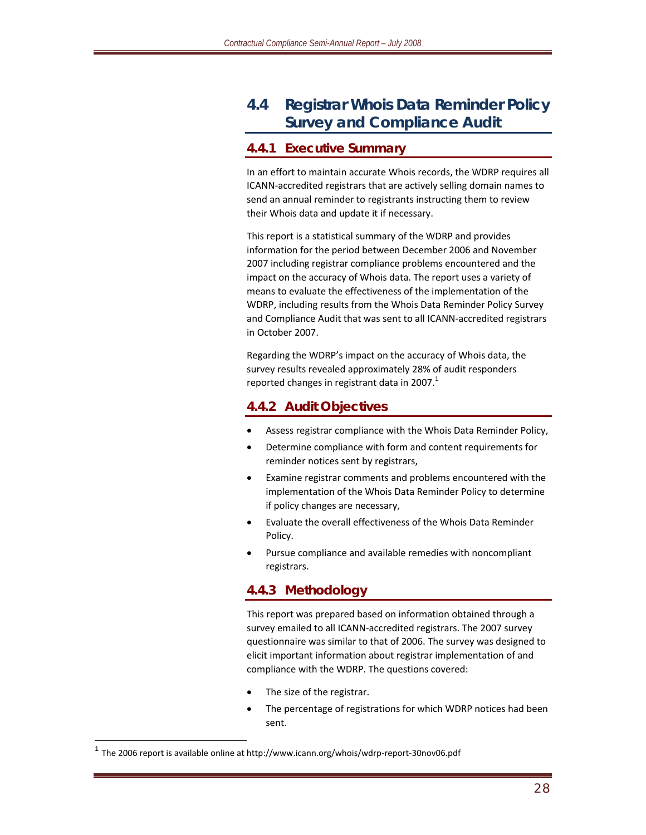# **4.4 Registrar Whois Data Reminder Policy Survey and Compliance Audit**

#### **4.4.1 Executive Summary**

In an effort to maintain accurate Whois records, the WDRP requires all ICANN‐accredited registrars that are actively selling domain names to send an annual reminder to registrants instructing them to review their Whois data and update it if necessary.

This report is a statistical summary of the WDRP and provides information for the period between December 2006 and November 2007 including registrar compliance problems encountered and the impact on the accuracy of Whois data. The report uses a variety of means to evaluate the effectiveness of the implementation of the WDRP, including results from the Whois Data Reminder Policy Survey and Compliance Audit that was sent to all ICANN‐accredited registrars in October 2007.

Regarding the WDRP's impact on the accuracy of Whois data, the survey results revealed approximately 28% of audit responders reported changes in registrant data in 2007. $^{1}$ 

### **4.4.2 Audit Objectives**

- Assess registrar compliance with the Whois Data Reminder Policy,
- Determine compliance with form and content requirements for reminder notices sent by registrars,
- Examine registrar comments and problems encountered with the implementation of the Whois Data Reminder Policy to determine if policy changes are necessary,
- Evaluate the overall effectiveness of the Whois Data Reminder Policy.
- Pursue compliance and available remedies with noncompliant registrars.

### **4.4.3 Methodology**

This report was prepared based on information obtained through a survey emailed to all ICANN‐accredited registrars. The 2007 survey questionnaire was similar to that of 2006. The survey was designed to elicit important information about registrar implementation of and compliance with the WDRP. The questions covered:

- The size of the registrar.
- The percentage of registrations for which WDRP notices had been sent.

 $\overline{a}$ 

 $<sup>1</sup>$  The 2006 report is available online at http://www.icann.org/whois/wdrp-report-30nov06.pdf</sup>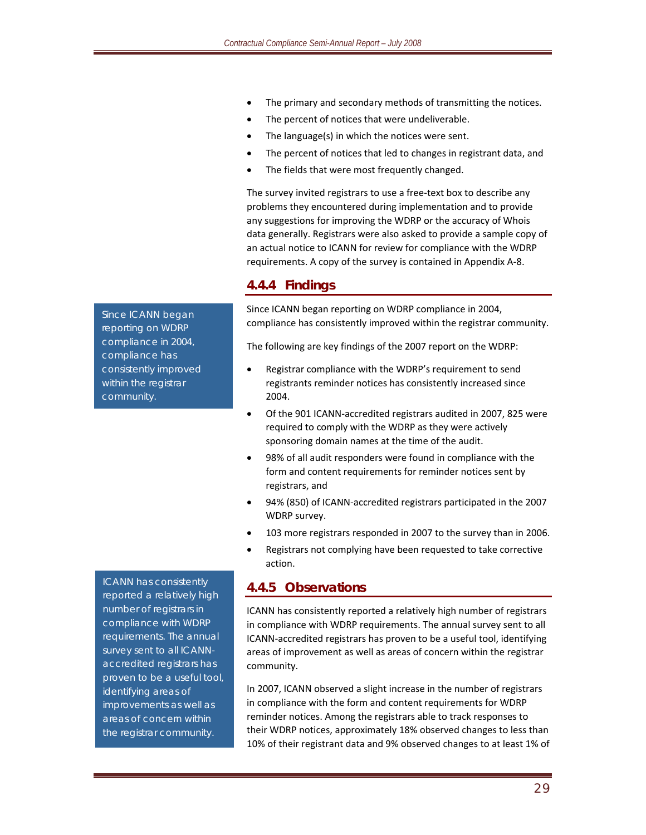- The primary and secondary methods of transmitting the notices.
- The percent of notices that were undeliverable.
- The language(s) in which the notices were sent.
- The percent of notices that led to changes in registrant data, and
- The fields that were most frequently changed.

The survey invited registrars to use a free-text box to describe any problems they encountered during implementation and to provide any suggestions for improving the WDRP or the accuracy of Whois data generally. Registrars were also asked to provide a sample copy of an actual notice to ICANN for review for compliance with the WDRP requirements. A copy of the survey is contained in Appendix A‐8.

#### **4.4.4 Findings**

Since ICANN began reporting on WDRP compliance in 2004, compliance has consistently improved within the registrar community.

The following are key findings of the 2007 report on the WDRP:

- Registrar compliance with the WDRP's requirement to send registrants reminder notices has consistently increased since 2004.
- Of the 901 ICANN‐accredited registrars audited in 2007, 825 were required to comply with the WDRP as they were actively sponsoring domain names at the time of the audit.
- 98% of all audit responders were found in compliance with the form and content requirements for reminder notices sent by registrars, and
- 94% (850) of ICANN‐accredited registrars participated in the 2007 WDRP survey.
- 103 more registrars responded in 2007 to the survey than in 2006.
- Registrars not complying have been requested to take corrective action.

#### **4.4.5 Observations**

ICANN has consistently reported a relatively high number of registrars in compliance with WDRP requirements. The annual survey sent to all ICANN‐accredited registrars has proven to be a useful tool, identifying areas of improvement as well as areas of concern within the registrar community.

In 2007, ICANN observed a slight increase in the number of registrars in compliance with the form and content requirements for WDRP reminder notices. Among the registrars able to track responses to their WDRP notices, approximately 18% observed changes to less than 10% of their registrant data and 9% observed changes to at least 1% of

*Since ICANN began reporting on WDRP compliance in 2004, compliance has consistently improved within the registrar community.* 

*ICANN has consistently reported a relatively high number of registrars in compliance with WDRP requirements. The annual survey sent to all ICANNaccredited registrars has proven to be a useful tool, identifying areas of improvements as well as areas of concern within the registrar community.*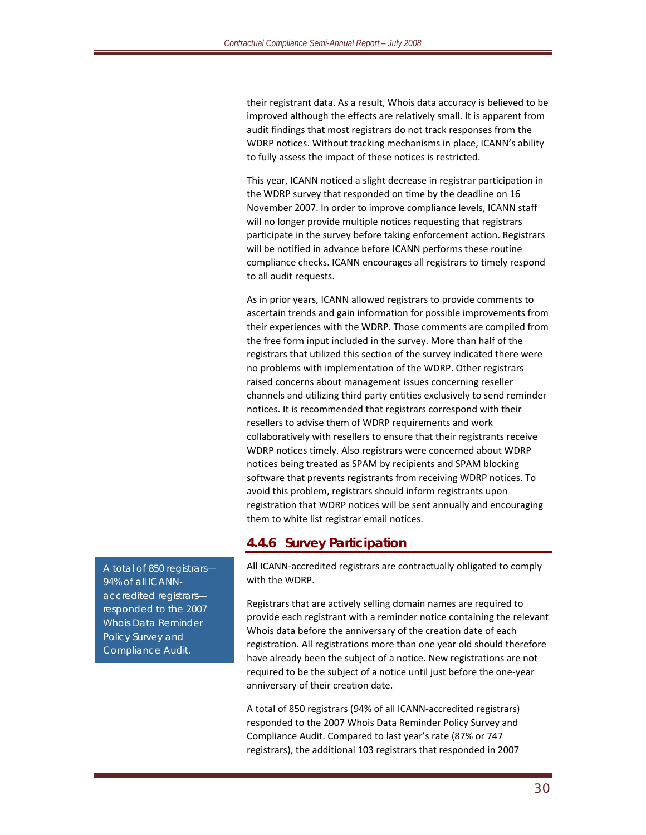their registrant data. As a result, Whois data accuracy is believed to be improved although the effects are relatively small. It is apparent from audit findings that most registrars do not track responses from the WDRP notices. Without tracking mechanisms in place, ICANN's ability to fully assess the impact of these notices is restricted.

This year, ICANN noticed a slight decrease in registrar participation in the WDRP survey that responded on time by the deadline on 16 November 2007. In order to improve compliance levels, ICANN staff will no longer provide multiple notices requesting that registrars participate in the survey before taking enforcement action. Registrars will be notified in advance before ICANN performs these routine compliance checks. ICANN encourages all registrars to timely respond to all audit requests.

As in prior years, ICANN allowed registrars to provide comments to ascertain trends and gain information for possible improvements from their experiences with the WDRP. Those comments are compiled from the free form input included in the survey. More than half of the registrars that utilized this section of the survey indicated there were no problems with implementation of the WDRP. Other registrars raised concerns about management issues concerning reseller channels and utilizing third party entities exclusively to send reminder notices. It is recommended that registrars correspond with their resellers to advise them of WDRP requirements and work collaboratively with resellers to ensure that their registrants receive WDRP notices timely. Also registrars were concerned about WDRP notices being treated as SPAM by recipients and SPAM blocking software that prevents registrants from receiving WDRP notices. To avoid this problem, registrars should inform registrants upon registration that WDRP notices will be sent annually and encouraging them to white list registrar email notices.

#### **4.4.6 Survey Participation**

All ICANN‐accredited registrars are contractually obligated to comply with the WDRP.

Registrars that are actively selling domain names are required to provide each registrant with a reminder notice containing the relevant Whois data before the anniversary of the creation date of each registration. All registrations more than one year old should therefore have already been the subject of a notice. New registrations are not required to be the subject of a notice until just before the one‐year anniversary of their creation date.

A total of 850 registrars (94% of all ICANN‐accredited registrars) responded to the 2007 Whois Data Reminder Policy Survey and Compliance Audit. Compared to last year's rate (87% or 747 registrars), the additional 103 registrars that responded in 2007

*A total of 850 registrars— 94% of all ICANNaccredited registrars responded to the 2007 Whois Data Reminder Policy Survey and Compliance Audit.*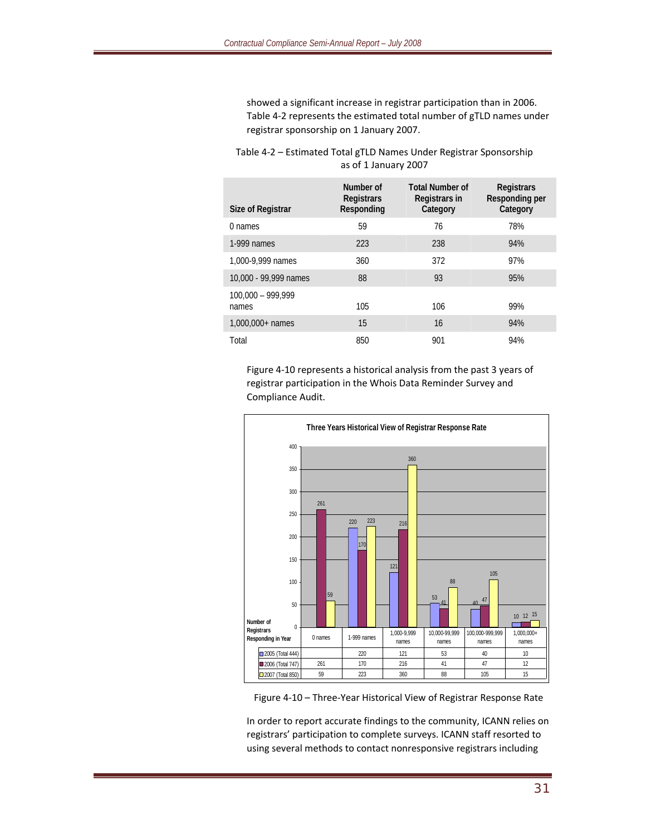showed a significant increase in registrar participation than in 2006. Table 4‐2 represents the estimated total number of gTLD names under registrar sponsorship on 1 January 2007.

#### Table 4‐2 – Estimated Total gTLD Names Under Registrar Sponsorship as of 1 January 2007

| Size of Registrar            | Number of<br><b>Registrars</b><br>Responding | <b>Total Number of</b><br>Registrars in<br>Category | <b>Registrars</b><br>Responding per<br>Category |
|------------------------------|----------------------------------------------|-----------------------------------------------------|-------------------------------------------------|
| 0 names                      | 59                                           | 76                                                  | 78%                                             |
| 1-999 names                  | 223                                          | 238                                                 | 94%                                             |
| 1,000-9,999 names            | 360                                          | 372                                                 | 97%                                             |
| 10,000 - 99,999 names        | 88                                           | 93                                                  | 95%                                             |
| $100.000 - 999.999$<br>names | 105                                          | 106                                                 | 99%                                             |
| $1,000,000+$ names           | 15                                           | 16                                                  | 94%                                             |
| Total                        | 850                                          | 901                                                 | 94%                                             |

Figure 4‐10 represents a historical analysis from the past 3 years of registrar participation in the Whois Data Reminder Survey and Compliance Audit.





In order to report accurate findings to the community, ICANN relies on registrars' participation to complete surveys. ICANN staff resorted to using several methods to contact nonresponsive registrars including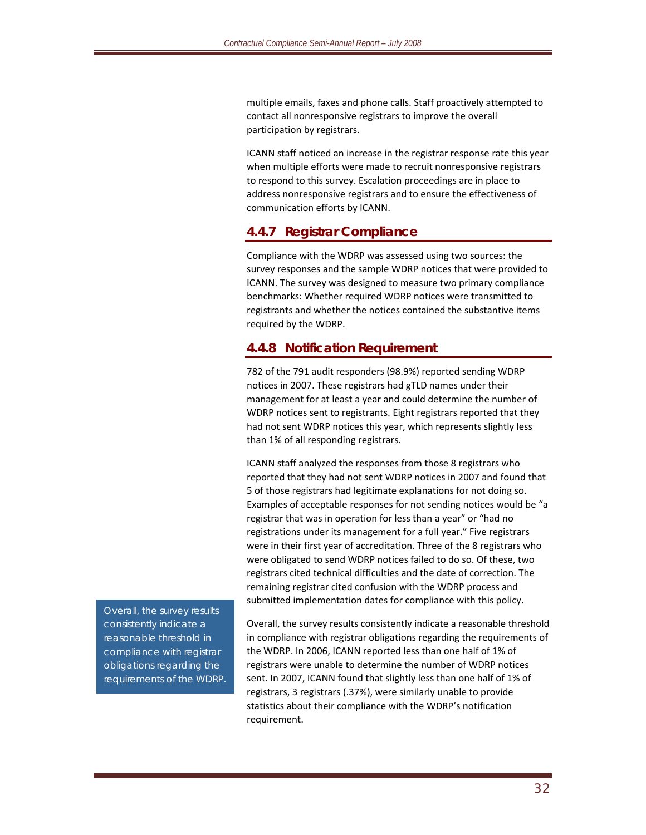multiple emails, faxes and phone calls. Staff proactively attempted to contact all nonresponsive registrars to improve the overall participation by registrars.

ICANN staff noticed an increase in the registrar response rate this year when multiple efforts were made to recruit nonresponsive registrars to respond to this survey. Escalation proceedings are in place to address nonresponsive registrars and to ensure the effectiveness of communication efforts by ICANN.

#### **4.4.7 Registrar Compliance**

Compliance with the WDRP was assessed using two sources: the survey responses and the sample WDRP notices that were provided to ICANN. The survey was designed to measure two primary compliance benchmarks: Whether required WDRP notices were transmitted to registrants and whether the notices contained the substantive items required by the WDRP.

#### **4.4.8 Notification Requirement**

782 of the 791 audit responders (98.9%) reported sending WDRP notices in 2007. These registrars had gTLD names under their management for at least a year and could determine the number of WDRP notices sent to registrants. Eight registrars reported that they had not sent WDRP notices this year, which represents slightly less than 1% of all responding registrars.

ICANN staff analyzed the responses from those 8 registrars who reported that they had not sent WDRP notices in 2007 and found that 5 of those registrars had legitimate explanations for not doing so. Examples of acceptable responses for not sending notices would be "a registrar that was in operation for less than a year" or "had no registrations under its management for a full year." Five registrars were in their first year of accreditation. Three of the 8 registrars who were obligated to send WDRP notices failed to do so. Of these, two registrars cited technical difficulties and the date of correction. The remaining registrar cited confusion with the WDRP process and submitted implementation dates for compliance with this policy.

Overall, the survey results consistently indicate a reasonable threshold in compliance with registrar obligations regarding the requirements of the WDRP. In 2006, ICANN reported less than one half of 1% of registrars were unable to determine the number of WDRP notices sent. In 2007, ICANN found that slightly less than one half of 1% of registrars, 3 registrars (.37%), were similarly unable to provide statistics about their compliance with the WDRP's notification requirement.

*Overall, the survey results consistently indicate a reasonable threshold in compliance with registrar obligations regarding the requirements of the WDRP.*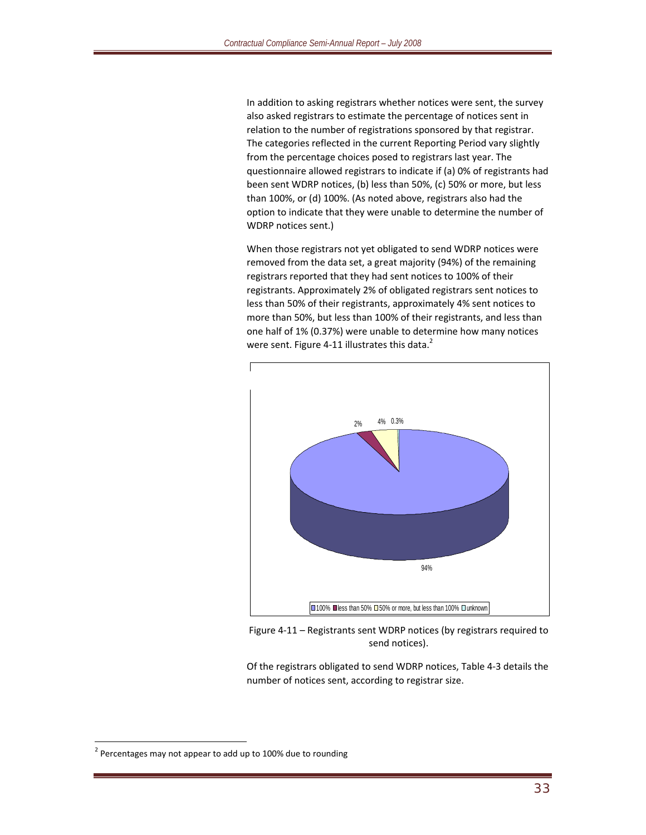In addition to asking registrars whether notices were sent, the survey also asked registrars to estimate the percentage of notices sent in relation to the number of registrations sponsored by that registrar. The categories reflected in the current Reporting Period vary slightly from the percentage choices posed to registrars last year. The questionnaire allowed registrars to indicate if (a) 0% of registrants had been sent WDRP notices, (b) less than 50%, (c) 50% or more, but less than 100%, or (d) 100%. (As noted above, registrars also had the option to indicate that they were unable to determine the number of WDRP notices sent.)

When those registrars not yet obligated to send WDRP notices were removed from the data set, a great majority (94%) of the remaining registrars reported that they had sent notices to 100% of their registrants. Approximately 2% of obligated registrars sent notices to less than 50% of their registrants, approximately 4% sent notices to more than 50%, but less than 100% of their registrants, and less than one half of 1% (0.37%) were unable to determine how many notices were sent. Figure 4-11 illustrates this data.<sup>2</sup>



Figure 4‐11 – Registrants sent WDRP notices (by registrars required to send notices).

Of the registrars obligated to send WDRP notices, Table 4‐3 details the number of notices sent, according to registrar size.

 $\overline{a}$ 

 $2$  Percentages may not appear to add up to 100% due to rounding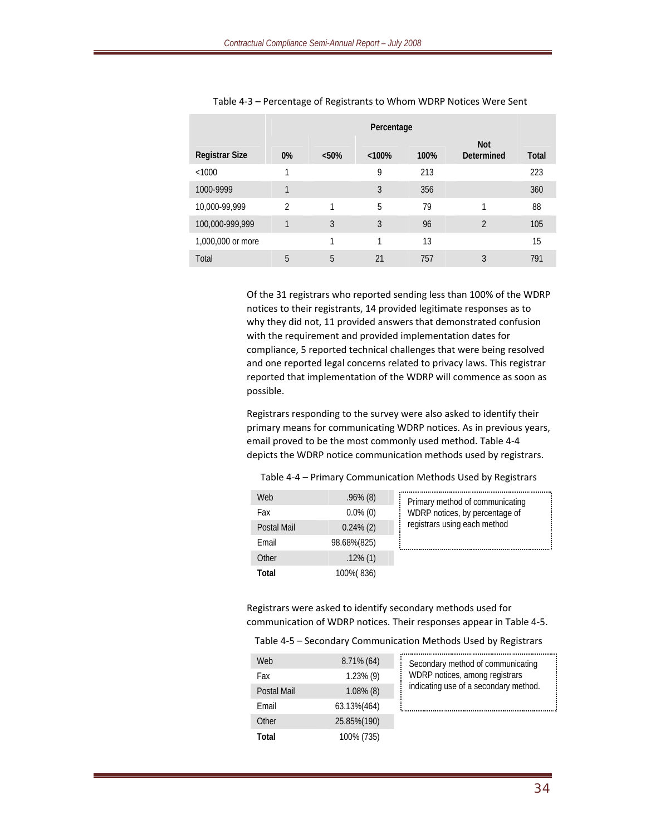|                       |    |          | Percentage |      |                          |       |
|-----------------------|----|----------|------------|------|--------------------------|-------|
| <b>Registrar Size</b> | 0% | $< 50\%$ | < 100%     | 100% | <b>Not</b><br>Determined | Total |
| <1000                 |    |          | 9          | 213  |                          | 223   |
| 1000-9999             | 1  |          | 3          | 356  |                          | 360   |
| 10,000-99,999         | 2  | 1        | 5          | 79   |                          | 88    |
| 100,000-999,999       | 1  | 3        | 3          | 96   | $\overline{2}$           | 105   |
| 1,000,000 or more     |    | 1        | 1          | 13   |                          | 15    |
| Total                 | 5  | 5        | 21         | 757  | 3                        | 791   |

Table 4‐3 – Percentage of Registrants to Whom WDRP Notices Were Sent

Of the 31 registrars who reported sending less than 100% of the WDRP notices to their registrants, 14 provided legitimate responses as to why they did not, 11 provided answers that demonstrated confusion with the requirement and provided implementation dates for compliance, 5 reported technical challenges that were being resolved and one reported legal concerns related to privacy laws. This registrar reported that implementation of the WDRP will commence as soon as possible.

Registrars responding to the survey were also asked to identify their primary means for communicating WDRP notices. As in previous years, email proved to be the most commonly used method. Table 4‐4 depicts the WDRP notice communication methods used by registrars.

| Web         | $.96\%$ (8)  | Primary method of communicating |
|-------------|--------------|---------------------------------|
| Fax         | $0.0\%$ (0)  | WDRP notices, by percentage of  |
| Postal Mail | $0.24\%$ (2) | registrars using each method    |
| Email       | 98.68%(825)  |                                 |
| Other       | $.12\%$ (1)  |                                 |
| Total       | 100% (836)   |                                 |

Table 4‐4 – Primary Communication Methods Used by Registrars

Registrars were asked to identify secondary methods used for communication of WDRP notices. Their responses appear in Table 4‐5.

#### Table 4‐5 – Secondary Communication Methods Used by Registrars

| Web         | $8.71\%$ (64) | Secondary method of communicating     |
|-------------|---------------|---------------------------------------|
| Fax         | $1.23\%$ (9)  | WDRP notices, among registrars        |
| Postal Mail | $1.08\%$ (8)  | indicating use of a secondary method. |
| Email       | 63.13%(464)   |                                       |
| Other       | 25.85%(190)   |                                       |
| Total       | 100% (735)    |                                       |

| Secondary method of communicating<br>WDRP notices, among registrars<br>indicating use of a secondary method. |
|--------------------------------------------------------------------------------------------------------------|
|                                                                                                              |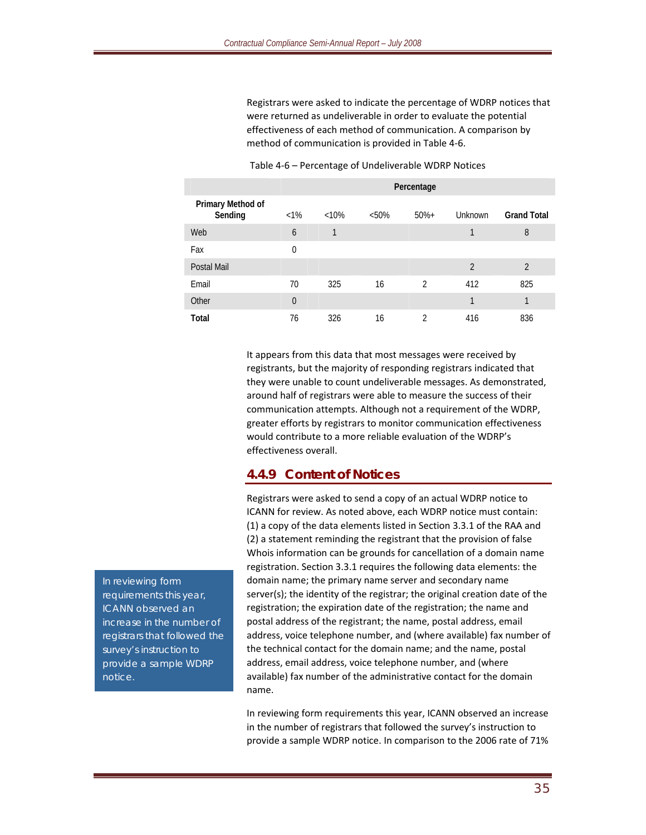Registrars were asked to indicate the percentage of WDRP notices that were returned as undeliverable in order to evaluate the potential effectiveness of each method of communication. A comparison by method of communication is provided in Table 4‐6.

|                              | Percentage     |          |       |                |                |                    |
|------------------------------|----------------|----------|-------|----------------|----------------|--------------------|
| Primary Method of<br>Sending | $<1\%$         | $< 10\%$ | < 50% | $50%+$         | Unknown        | <b>Grand Total</b> |
| Web                          | 6              | 1        |       |                | 1              | 8                  |
| Fax                          | $\mathbf 0$    |          |       |                |                |                    |
| Postal Mail                  |                |          |       |                | $\overline{2}$ | $\overline{2}$     |
| Email                        | 70             | 325      | 16    | $\mathfrak{D}$ | 412            | 825                |
| Other                        | $\overline{0}$ |          |       |                | 1              | 1                  |
| Total                        | 76             | 326      | 16    | 2              | 416            | 836                |

Table 4‐6 – Percentage of Undeliverable WDRP Notices

It appears from this data that most messages were received by registrants, but the majority of responding registrars indicated that they were unable to count undeliverable messages. As demonstrated, around half of registrars were able to measure the success of their communication attempts. Although not a requirement of the WDRP, greater efforts by registrars to monitor communication effectiveness would contribute to a more reliable evaluation of the WDRP's effectiveness overall.

#### **4.4.9 Content of Notices**

Registrars were asked to send a copy of an actual WDRP notice to ICANN for review. As noted above, each WDRP notice must contain: (1) a copy of the data elements listed in Section 3.3.1 of the RAA and (2) a statement reminding the registrant that the provision of false Whois information can be grounds for cancellation of a domain name registration. Section 3.3.1 requires the following data elements: the domain name; the primary name server and secondary name server(s); the identity of the registrar; the original creation date of the registration; the expiration date of the registration; the name and postal address of the registrant; the name, postal address, email address, voice telephone number, and (where available) fax number of the technical contact for the domain name; and the name, postal address, email address, voice telephone number, and (where available) fax number of the administrative contact for the domain name.

In reviewing form requirements this year, ICANN observed an increase in the number of registrars that followed the survey's instruction to provide a sample WDRP notice. In comparison to the 2006 rate of 71%

*In reviewing form requirements this year, ICANN observed an increase in the number of registrars that followed the survey's instruction to provide a sample WDRP notice.*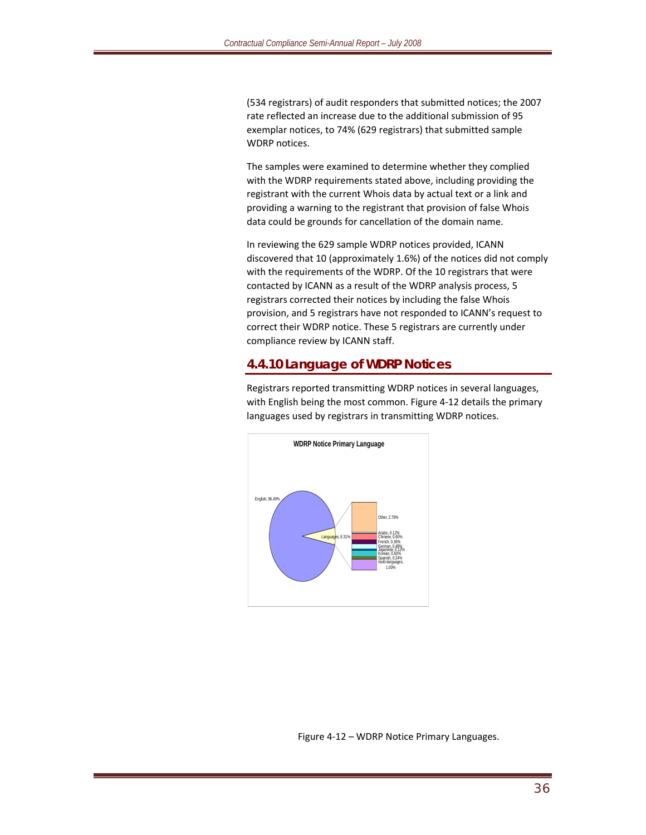(534 registrars) of audit responders that submitted notices; the 2007 rate reflected an increase due to the additional submission of 95 exemplar notices, to 74% (629 registrars) that submitted sample WDRP notices.

The samples were examined to determine whether they complied with the WDRP requirements stated above, including providing the registrant with the current Whois data by actual text or a link and providing a warning to the registrant that provision of false Whois data could be grounds for cancellation of the domain name.

In reviewing the 629 sample WDRP notices provided, ICANN discovered that 10 (approximately 1.6%) of the notices did not comply with the requirements of the WDRP. Of the 10 registrars that were contacted by ICANN as a result of the WDRP analysis process, 5 registrars corrected their notices by including the false Whois provision, and 5 registrars have not responded to ICANN's request to correct their WDRP notice. These 5 registrars are currently under compliance review by ICANN staff.

#### **4.4.10 Language of WDRP Notices**

Registrars reported transmitting WDRP notices in several languages, with English being the most common. Figure 4‐12 details the primary languages used by registrars in transmitting WDRP notices.



**WDRP Notice Primary Language**

Figure 4‐12 – WDRP Notice Primary Languages.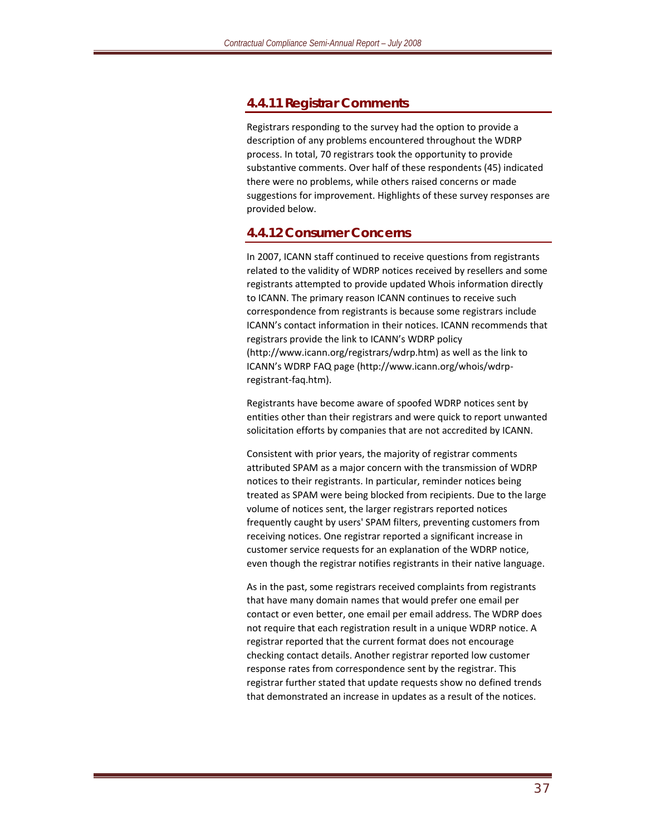#### **4.4.11 Registrar Comments**

Registrars responding to the survey had the option to provide a description of any problems encountered throughout the WDRP process. In total, 70 registrars took the opportunity to provide substantive comments. Over half of these respondents (45) indicated there were no problems, while others raised concerns or made suggestions for improvement. Highlights of these survey responses are provided below.

#### **4.4.12 Consumer Concerns**

In 2007, ICANN staff continued to receive questions from registrants related to the validity of WDRP notices received by resellers and some registrants attempted to provide updated Whois information directly to ICANN. The primary reason ICANN continues to receive such correspondence from registrants is because some registrars include ICANN's contact information in their notices. ICANN recommends that registrars provide the link to ICANN's WDRP policy (http://www.icann.org/registrars/wdrp.htm) as well as the link to ICANN's WDRP FAQ page (http://www.icann.org/whois/wdrp‐ registrant‐faq.htm).

Registrants have become aware of spoofed WDRP notices sent by entities other than their registrars and were quick to report unwanted solicitation efforts by companies that are not accredited by ICANN.

Consistent with prior years, the majority of registrar comments attributed SPAM as a major concern with the transmission of WDRP notices to their registrants. In particular, reminder notices being treated as SPAM were being blocked from recipients. Due to the large volume of notices sent, the larger registrars reported notices frequently caught by users' SPAM filters, preventing customers from receiving notices. One registrar reported a significant increase in customer service requests for an explanation of the WDRP notice, even though the registrar notifies registrants in their native language.

As in the past, some registrars received complaints from registrants that have many domain names that would prefer one email per contact or even better, one email per email address. The WDRP does not require that each registration result in a unique WDRP notice. A registrar reported that the current format does not encourage checking contact details. Another registrar reported low customer response rates from correspondence sent by the registrar. This registrar further stated that update requests show no defined trends that demonstrated an increase in updates as a result of the notices.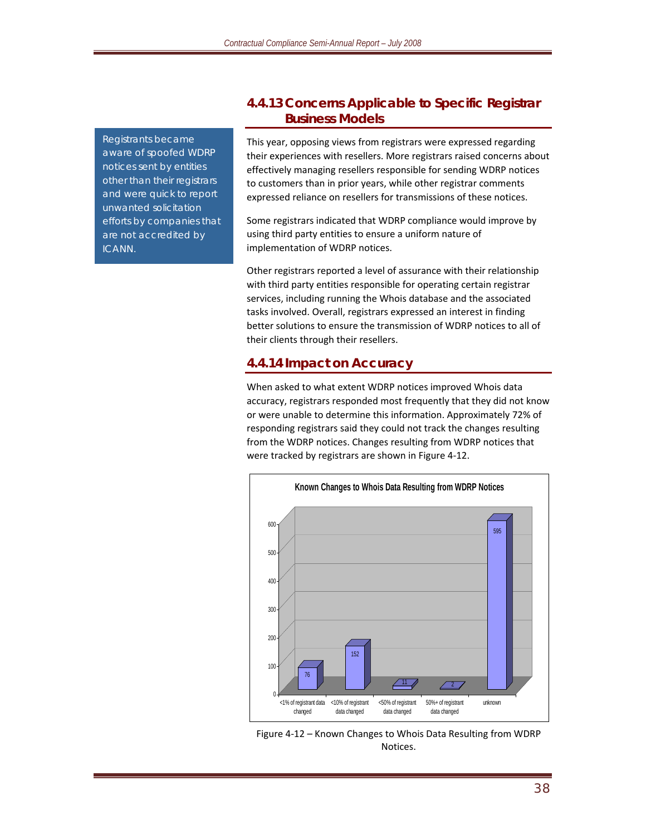*Registrants became aware of spoofed WDRP notices sent by entities other than their registrars and were quick to report unwanted solicitation efforts by companies that are not accredited by ICANN.*

#### **4.4.13 Concerns Applicable to Specific Registrar Business Models**

This year, opposing views from registrars were expressed regarding their experiences with resellers. More registrars raised concerns about effectively managing resellers responsible for sending WDRP notices to customers than in prior years, while other registrar comments expressed reliance on resellers for transmissions of these notices.

Some registrars indicated that WDRP compliance would improve by using third party entities to ensure a uniform nature of implementation of WDRP notices.

Other registrars reported a level of assurance with their relationship with third party entities responsible for operating certain registrar services, including running the Whois database and the associated tasks involved. Overall, registrars expressed an interest in finding better solutions to ensure the transmission of WDRP notices to all of their clients through their resellers.

#### **4.4.14 Impact on Accuracy**

When asked to what extent WDRP notices improved Whois data accuracy, registrars responded most frequently that they did not know or were unable to determine this information. Approximately 72% of responding registrars said they could not track the changes resulting from the WDRP notices. Changes resulting from WDRP notices that were tracked by registrars are shown in Figure 4‐12.



Figure 4‐12 – Known Changes to Whois Data Resulting from WDRP Notices.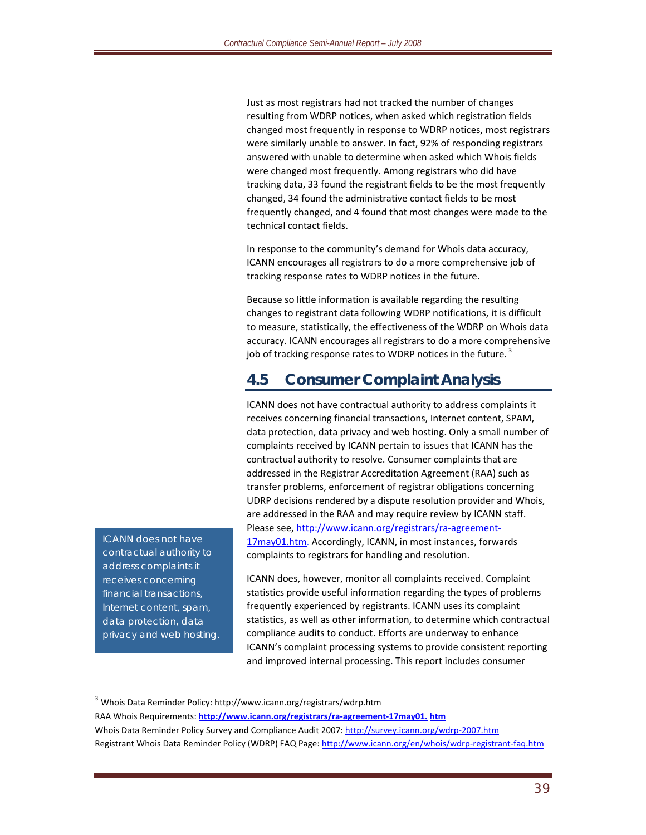Just as most registrars had not tracked the number of changes resulting from WDRP notices, when asked which registration fields changed most frequently in response to WDRP notices, most registrars were similarly unable to answer. In fact, 92% of responding registrars answered with unable to determine when asked which Whois fields were changed most frequently. Among registrars who did have tracking data, 33 found the registrant fields to be the most frequently changed, 34 found the administrative contact fields to be most frequently changed, and 4 found that most changes were made to the technical contact fields.

In response to the community's demand for Whois data accuracy, ICANN encourages all registrars to do a more comprehensive job of tracking response rates to WDRP notices in the future.

Because so little information is available regarding the resulting changes to registrant data following WDRP notifications, it is difficult to measure, statistically, the effectiveness of the WDRP on Whois data accuracy. ICANN encourages all registrars to do a more comprehensive job of tracking response rates to WDRP notices in the future.<sup>3</sup>

### **4.5 Consumer Complaint Analysis**

ICANN does not have contractual authority to address complaints it receives concerning financial transactions, Internet content, SPAM, data protection, data privacy and web hosting. Only a small number of complaints received by ICANN pertain to issues that ICANN has the contractual authority to resolve. Consumer complaints that are addressed in the Registrar Accreditation Agreement (RAA) such as transfer problems, enforcement of registrar obligations concerning UDRP decisions rendered by a dispute resolution provider and Whois, are addressed in the RAA and may require review by ICANN staff. Please see, http://www.icann.org/registrars/ra‐agreement‐ 17may01.htm. Accordingly, ICANN, in most instances, forwards complaints to registrars for handling and resolution.

ICANN does, however, monitor all complaints received. Complaint statistics provide useful information regarding the types of problems frequently experienced by registrants. ICANN uses its complaint statistics, as well as other information, to determine which contractual compliance audits to conduct. Efforts are underway to enhance ICANN's complaint processing systems to provide consistent reporting and improved internal processing. This report includes consumer

RAA Whois Requirements: **http://www.icann.org/registrars/ra‐agreement‐17may01. htm** Whois Data Reminder Policy Survey and Compliance Audit 2007: http://survey.icann.org/wdrp-2007.htm Registrant Whois Data Reminder Policy (WDRP) FAQ Page: http://www.icann.org/en/whois/wdrp-registrant-faq.htm

*ICANN does not have contractual authority to address complaints it receives concerning financial transactions, Internet content, spam, data protection, data privacy and web hosting.*

 $\overline{a}$ 

<sup>3</sup> Whois Data Reminder Policy: http://www.icann.org/registrars/wdrp.htm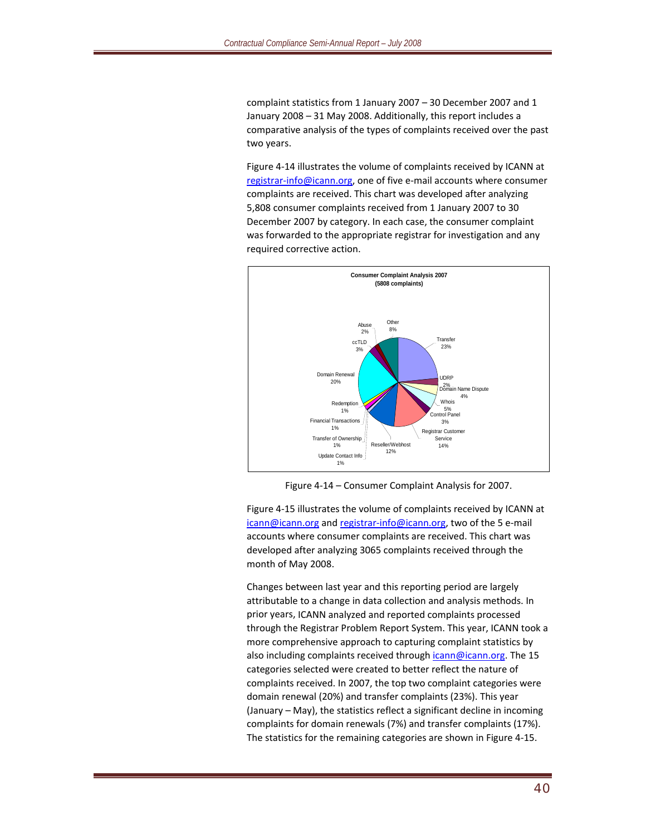complaint statistics from 1 January 2007 – 30 December 2007 and 1 January 2008 – 31 May 2008. Additionally, this report includes a comparative analysis of the types of complaints received over the past two years.

Figure 4‐14 illustrates the volume of complaints received by ICANN at registrar‐info@icann.org, one of five e‐mail accounts where consumer complaints are received. This chart was developed after analyzing 5,808 consumer complaints received from 1 January 2007 to 30 December 2007 by category. In each case, the consumer complaint was forwarded to the appropriate registrar for investigation and any required corrective action.



Figure 4‐14 – Consumer Complaint Analysis for 2007.

Figure 4‐15 illustrates the volume of complaints received by ICANN at icann@icann.org and registrar-info@icann.org, two of the 5 e-mail accounts where consumer complaints are received. This chart was developed after analyzing 3065 complaints received through the month of May 2008.

Changes between last year and this reporting period are largely attributable to a change in data collection and analysis methods. In prior years, ICANN analyzed and reported complaints processed through the Registrar Problem Report System. This year, ICANN took a more comprehensive approach to capturing complaint statistics by also including complaints received through icann@icann.org. The 15 categories selected were created to better reflect the nature of complaints received. In 2007, the top two complaint categories were domain renewal (20%) and transfer complaints (23%). This year (January – May), the statistics reflect a significant decline in incoming complaints for domain renewals (7%) and transfer complaints (17%). The statistics for the remaining categories are shown in Figure 4‐15.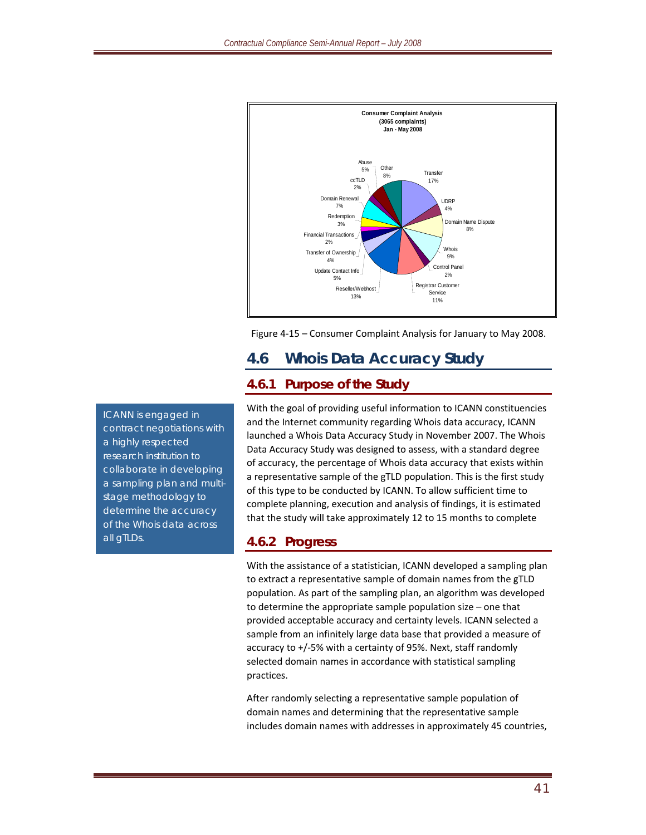

Figure 4‐15 – Consumer Complaint Analysis for January to May 2008.

# **4.6 Whois Data Accuracy Study**

### **4.6.1 Purpose of the Study**

With the goal of providing useful information to ICANN constituencies and the Internet community regarding Whois data accuracy, ICANN launched a Whois Data Accuracy Study in November 2007. The Whois Data Accuracy Study was designed to assess, with a standard degree of accuracy, the percentage of Whois data accuracy that exists within a representative sample of the gTLD population. This is the first study of this type to be conducted by ICANN. To allow sufficient time to complete planning, execution and analysis of findings, it is estimated that the study will take approximately 12 to 15 months to complete

#### **4.6.2 Progress**

With the assistance of a statistician, ICANN developed a sampling plan to extract a representative sample of domain names from the gTLD population. As part of the sampling plan, an algorithm was developed to determine the appropriate sample population size – one that provided acceptable accuracy and certainty levels. ICANN selected a sample from an infinitely large data base that provided a measure of accuracy to +/‐5% with a certainty of 95%. Next, staff randomly selected domain names in accordance with statistical sampling practices.

After randomly selecting a representative sample population of domain names and determining that the representative sample includes domain names with addresses in approximately 45 countries,

*ICANN is engaged in contract negotiations with a highly respected research institution to collaborate in developing a sampling plan and multistage methodology to determine the accuracy of the Whois data across all gTLDs.*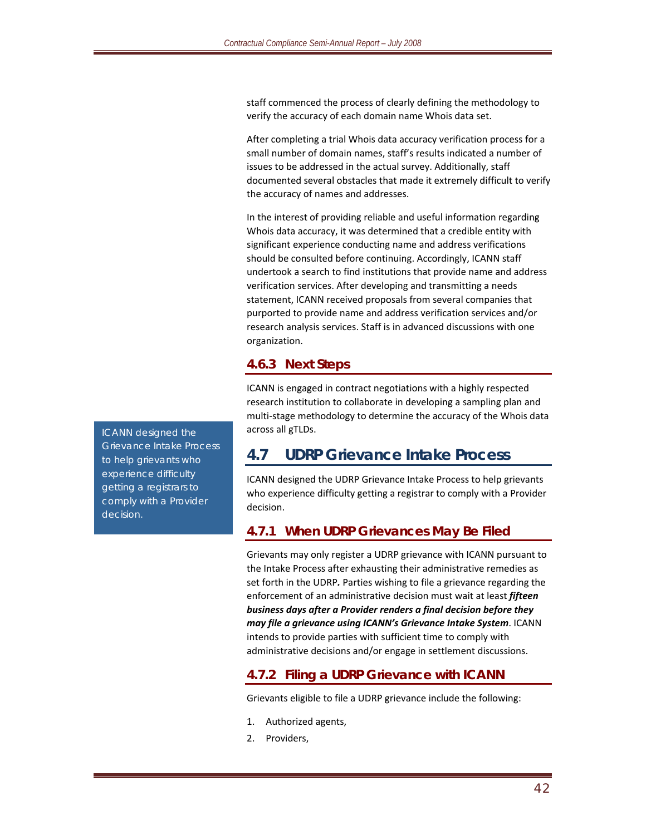staff commenced the process of clearly defining the methodology to verify the accuracy of each domain name Whois data set.

After completing a trial Whois data accuracy verification process for a small number of domain names, staff's results indicated a number of issues to be addressed in the actual survey. Additionally, staff documented several obstacles that made it extremely difficult to verify the accuracy of names and addresses.

In the interest of providing reliable and useful information regarding Whois data accuracy, it was determined that a credible entity with significant experience conducting name and address verifications should be consulted before continuing. Accordingly, ICANN staff undertook a search to find institutions that provide name and address verification services. After developing and transmitting a needs statement, ICANN received proposals from several companies that purported to provide name and address verification services and/or research analysis services. Staff is in advanced discussions with one organization.

#### **4.6.3 Next Steps**

ICANN is engaged in contract negotiations with a highly respected research institution to collaborate in developing a sampling plan and multi-stage methodology to determine the accuracy of the Whois data across all gTLDs.

## **4.7 UDRP Grievance Intake Process**

ICANN designed the UDRP Grievance Intake Process to help grievants who experience difficulty getting a registrar to comply with a Provider decision.

#### **4.7.1 When UDRP Grievances May Be Filed**

Grievants may only register a UDRP grievance with ICANN pursuant to the Intake Process after exhausting their administrative remedies as set forth in the UDRP*.* Parties wishing to file a grievance regarding the enforcement of an administrative decision must wait at least *fifteen business days after a Provider renders a final decision before they may file a grievance using ICANN's Grievance Intake System*. ICANN intends to provide parties with sufficient time to comply with administrative decisions and/or engage in settlement discussions.

#### **4.7.2 Filing a UDRP Grievance with ICANN**

Grievants eligible to file a UDRP grievance include the following:

- 1. Authorized agents,
- 2. Providers,

*ICANN designed the Grievance Intake Process to help grievants who experience difficulty getting a registrars to comply with a Provider decision.*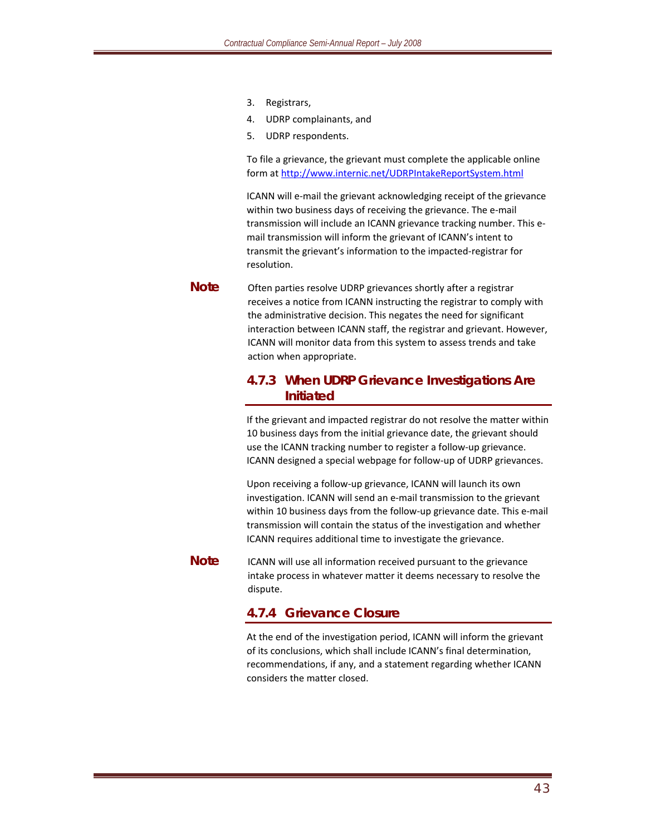- 3. Registrars,
- 4. UDRP complainants, and
- 5. UDRP respondents.

To file a grievance, the grievant must complete the applicable online form at http://www.internic.net/UDRPIntakeReportSystem.html

ICANN will e‐mail the grievant acknowledging receipt of the grievance within two business days of receiving the grievance. The e-mail transmission will include an ICANN grievance tracking number. This e‐ mail transmission will inform the grievant of ICANN's intent to transmit the grievant's information to the impacted‐registrar for resolution.

**Note** Often parties resolve UDRP grievances shortly after a registrar receives a notice from ICANN instructing the registrar to comply with the administrative decision. This negates the need for significant interaction between ICANN staff, the registrar and grievant. However, ICANN will monitor data from this system to assess trends and take action when appropriate.

#### **4.7.3 When UDRP Grievance Investigations Are Initiated**

If the grievant and impacted registrar do not resolve the matter within 10 business days from the initial grievance date, the grievant should use the ICANN tracking number to register a follow‐up grievance. ICANN designed a special webpage for follow‐up of UDRP grievances.

Upon receiving a follow‐up grievance, ICANN will launch its own investigation. ICANN will send an e‐mail transmission to the grievant within 10 business days from the follow-up grievance date. This e-mail transmission will contain the status of the investigation and whether ICANN requires additional time to investigate the grievance.

**Note** ICANN will use all information received pursuant to the grievance intake process in whatever matter it deems necessary to resolve the dispute.

#### **4.7.4 Grievance Closure**

At the end of the investigation period, ICANN will inform the grievant of its conclusions, which shall include ICANN's final determination, recommendations, if any, and a statement regarding whether ICANN considers the matter closed.